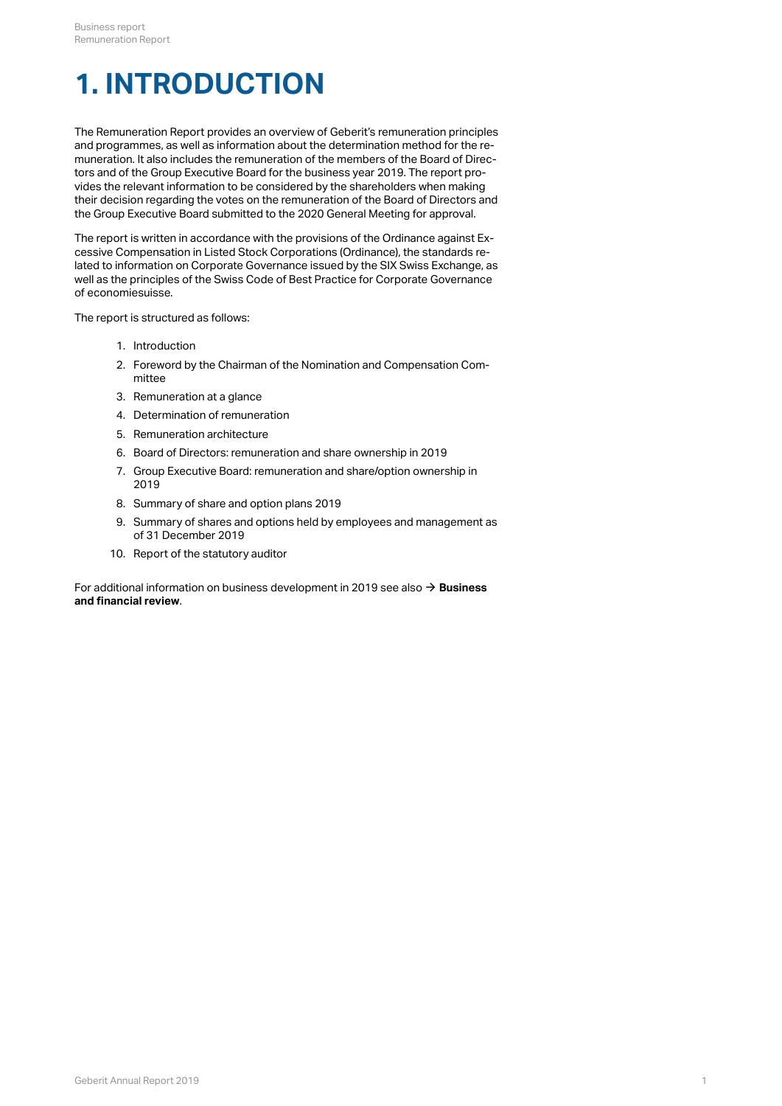# **1. INTRODUCTION**

The Remuneration Report provides an overview of Geberit's remuneration principles and programmes, as well as information about the determination method for the remuneration. It also includes the remuneration of the members of the Board of Directors and of the Group Executive Board for the business year 2019. The report provides the relevant information to be considered by the shareholders when making their decision regarding the votes on the remuneration of the Board of Directors and the Group Executive Board submitted to the 2020 General Meeting for approval.

The report is written in accordance with the provisions of the Ordinance against Excessive Compensation in Listed Stock Corporations (Ordinance), the standards related to information on Corporate Governance issued by the SIX Swiss Exchange, as well as the principles of the Swiss Code of Best Practice for Corporate Governance of economiesuisse.

The report is structured as follows:

- 1. Introduction
- 2. Foreword by the Chairman of the Nomination and Compensation Committee
- 3. Remuneration at a glance
- 4. Determination of remuneration
- 5. Remuneration architecture
- 6. Board of Directors: remuneration and share ownership in 2019
- 7. Group Executive Board: remuneration and share/option ownership in 2019
- 8. Summary of share and option plans 2019
- 9. Summary of shares and options held by employees and management as of 31 December 2019
- 10. Report of the statutory auditor

For additional information on business development in 2019 see also → Business **[and financial review](http://annualreport.geberit.com/reports/geberit/annual/2019/gb/English/1050/business-and-financial-review.html)** .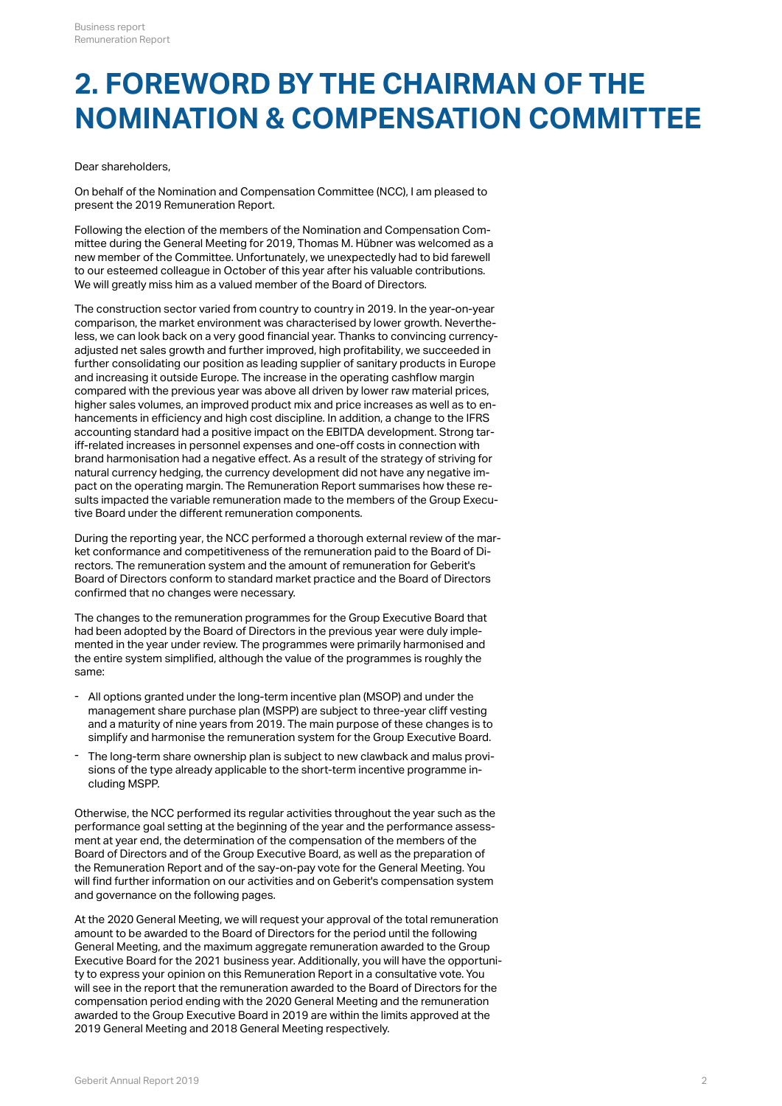## **2. FOREWORD BY THE CHAIRMAN OF THE NOMINATION & COMPENSATION COMMITTEE**

#### Dear shareholders,

On behalf of the Nomination and Compensation Committee (NCC), I am pleased to present the 2019 Remuneration Report.

Following the election of the members of the Nomination and Compensation Committee during the General Meeting for 2019, Thomas M. Hübner was welcomed as a new member of the Committee. Unfortunately, we unexpectedly had to bid farewell to our esteemed colleague in October of this year after his valuable contributions. We will greatly miss him as a valued member of the Board of Directors.

The construction sector varied from country to country in 2019. In the year-on-year comparison, the market environment was characterised by lower growth. Nevertheless, we can look back on a very good financial year. Thanks to convincing currencyadjusted net sales growth and further improved, high profitability, we succeeded in further consolidating our position as leading supplier of sanitary products in Europe and increasing it outside Europe. The increase in the operating cashflow margin compared with the previous year was above all driven by lower raw material prices, higher sales volumes, an improved product mix and price increases as well as to enhancements in efficiency and high cost discipline. In addition, a change to the IFRS accounting standard had a positive impact on the EBITDA development. Strong tariff-related increases in personnel expenses and one-off costs in connection with brand harmonisation had a negative effect. As a result of the strategy of striving for natural currency hedging, the currency development did not have any negative impact on the operating margin. The Remuneration Report summarises how these results impacted the variable remuneration made to the members of the Group Executive Board under the different remuneration components.

During the reporting year, the NCC performed a thorough external review of the market conformance and competitiveness of the remuneration paid to the Board of Directors. The remuneration system and the amount of remuneration for Geberit's Board of Directors conform to standard market practice and the Board of Directors confirmed that no changes were necessary.

The changes to the remuneration programmes for the Group Executive Board that had been adopted by the Board of Directors in the previous year were duly implemented in the year under review. The programmes were primarily harmonised and the entire system simplified, although the value of the programmes is roughly the same:

- All options granted under the long-term incentive plan (MSOP) and under the management share purchase plan (MSPP) are subject to three-year cliff vesting and a maturity of nine years from 2019. The main purpose of these changes is to simplify and harmonise the remuneration system for the Group Executive Board.
- The long-term share ownership plan is subject to new clawback and malus provisions of the type already applicable to the short-term incentive programme including MSPP. -

Otherwise, the NCC performed its regular activities throughout the year such as the performance goal setting at the beginning of the year and the performance assessment at year end, the determination of the compensation of the members of the Board of Directors and of the Group Executive Board, as well as the preparation of the Remuneration Report and of the say-on-pay vote for the General Meeting. You will find further information on our activities and on Geberit's compensation system and governance on the following pages.

At the 2020 General Meeting, we will request your approval of the total remuneration amount to be awarded to the Board of Directors for the period until the following General Meeting, and the maximum aggregate remuneration awarded to the Group Executive Board for the 2021 business year. Additionally, you will have the opportunity to express your opinion on this Remuneration Report in a consultative vote. You will see in the report that the remuneration awarded to the Board of Directors for the compensation period ending with the 2020 General Meeting and the remuneration awarded to the Group Executive Board in 2019 are within the limits approved at the 2019 General Meeting and 2018 General Meeting respectively.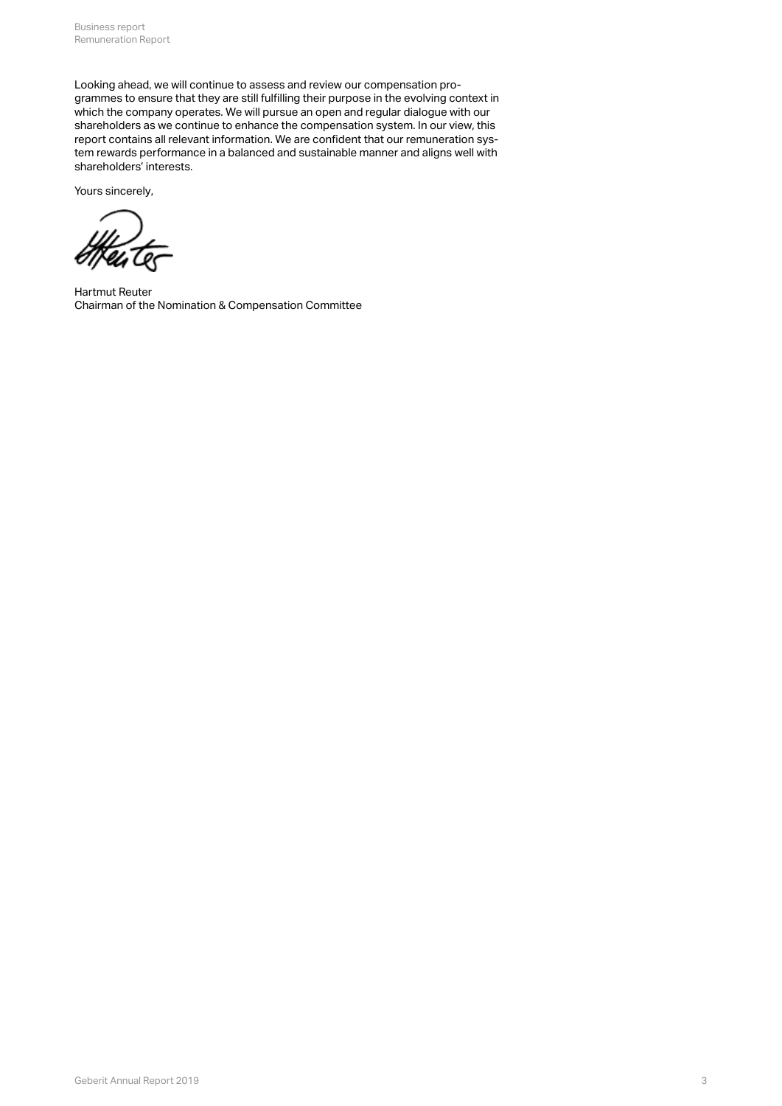Looking ahead, we will continue to assess and review our compensation programmes to ensure that they are still fulfilling their purpose in the evolving context in which the company operates. We will pursue an open and regular dialogue with our shareholders as we continue to enhance the compensation system. In our view, this report contains all relevant information. We are confident that our remuneration system rewards performance in a balanced and sustainable manner and aligns well with shareholders' interests.

Yours sincerely,

Hartmut Reuter Chairman of the Nomination & Compensation Committee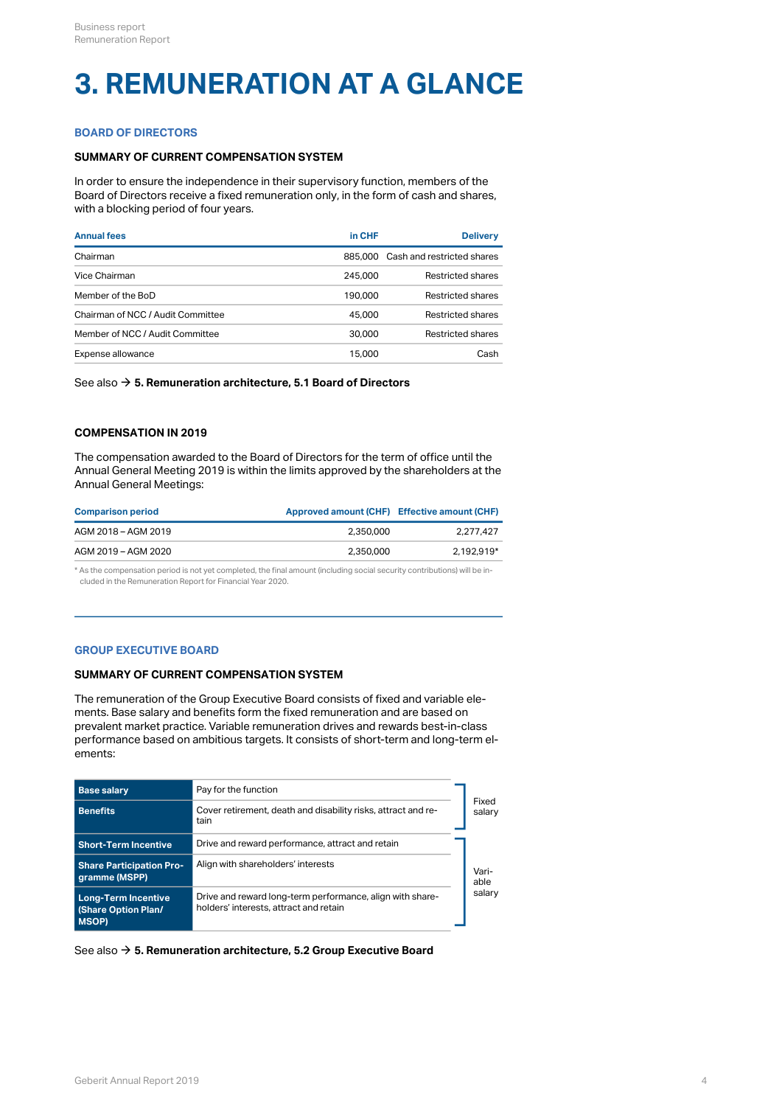# **3. REMUNERATION AT A GLANCE**

## **BOARD OF DIRECTORS**

## **SUMMARY OF CURRENT COMPENSATION SYSTEM**

In order to ensure the independence in their supervisory function, members of the Board of Directors receive a fixed remuneration only, in the form of cash and shares, with a blocking period of four years.

| <b>Annual fees</b>                | in CHF  | <b>Delivery</b>                    |
|-----------------------------------|---------|------------------------------------|
| Chairman                          |         | 885,000 Cash and restricted shares |
| Vice Chairman                     | 245,000 | Restricted shares                  |
| Member of the BoD                 | 190,000 | Restricted shares                  |
| Chairman of NCC / Audit Committee | 45,000  | Restricted shares                  |
| Member of NCC / Audit Committee   | 30,000  | Restricted shares                  |
| Expense allowance                 | 15,000  | Cash                               |

See also → [5. Remuneration architecture, 5.1 Board of Directors](#page-8-0)

## **COMPENSATION IN 2019**

The compensation awarded to the Board of Directors for the term of office until the Annual General Meeting 2019 is within the limits approved by the shareholders at the Annual General Meetings:

| <b>Comparison period</b> | Approved amount (CHF) Effective amount (CHF) |            |
|--------------------------|----------------------------------------------|------------|
| AGM 2018 - AGM 2019      | 2.350.000                                    | 2.277.427  |
| AGM 2019 - AGM 2020      | 2.350.000                                    | 2.192.919* |

\* As the compensation period is not yet completed, the final amount (including social security contributions) will be included in the Remuneration Report for Financial Year 2020.

#### **GROUP EXECUTIVE BOARD**

#### **SUMMARY OF CURRENT COMPENSATION SYSTEM**

The remuneration of the Group Executive Board consists of fixed and variable elements. Base salary and benefits form the fixed remuneration and are based on prevalent market practice. Variable remuneration drives and rewards best-in-class performance based on ambitious targets. It consists of short-term and long-term elements:

| <b>Base salary</b>                                                | Pay for the function                                                                                |                 |  |
|-------------------------------------------------------------------|-----------------------------------------------------------------------------------------------------|-----------------|--|
| <b>Benefits</b>                                                   | Cover retirement, death and disability risks, attract and re-<br>tain                               | Fixed<br>salary |  |
| <b>Short-Term Incentive</b>                                       | Drive and reward performance, attract and retain                                                    |                 |  |
| <b>Share Participation Pro-</b><br>gramme (MSPP)                  | Align with shareholders' interests                                                                  | Vari-<br>able   |  |
| <b>Long-Term Incentive</b><br>(Share Option Plan/<br><b>MSOP)</b> | Drive and reward long-term performance, align with share-<br>holders' interests, attract and retain | salary          |  |

See also **→ [5. Remuneration architecture, 5.2 Group Executive Board](#page-8-1)**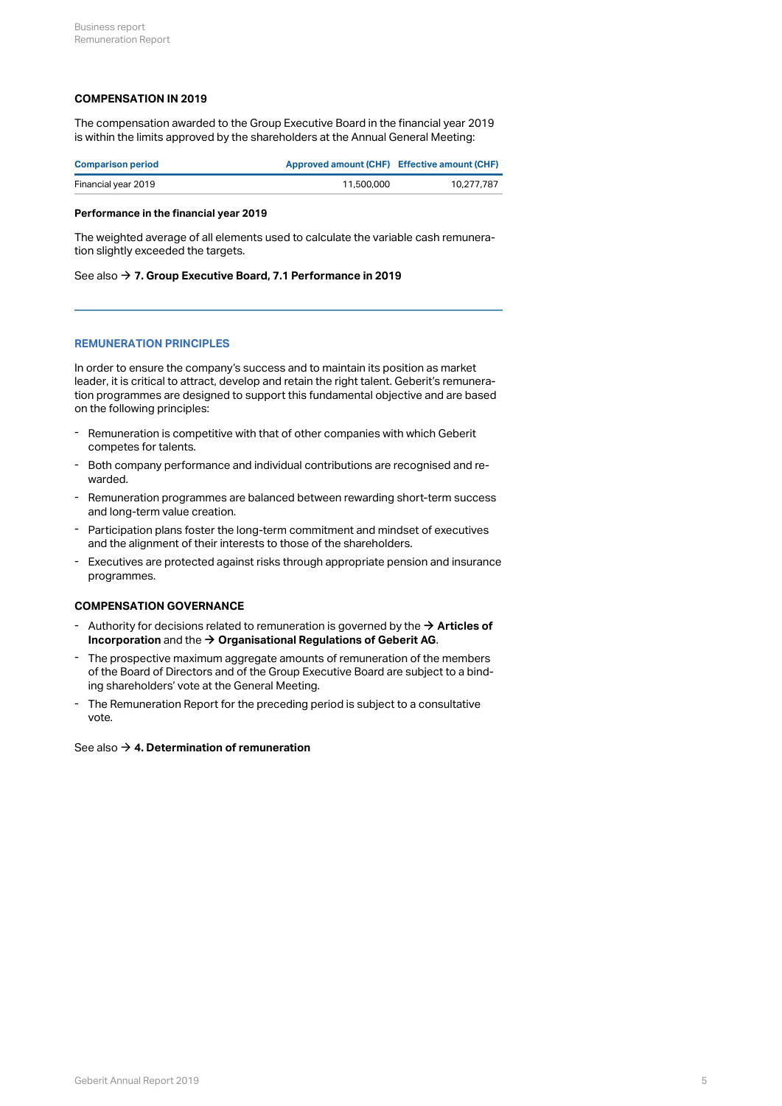## **COMPENSATION IN 2019**

The compensation awarded to the Group Executive Board in the financial year 2019 is within the limits approved by the shareholders at the Annual General Meeting:

| <b>Comparison period</b> | Approved amount (CHF) Effective amount (CHF) |            |
|--------------------------|----------------------------------------------|------------|
| Financial year 2019      | 11,500,000                                   | 10.277.787 |

#### **Performance in the financial year 2019**

The weighted average of all elements used to calculate the variable cash remuneration slightly exceeded the targets.

#### See also → **[7. Group Executive Board, 7.1 Performance in 2019](#page-15-0)**

### **REMUNERATION PRINCIPLES**

In order to ensure the company's success and to maintain its position as market leader, it is critical to attract, develop and retain the right talent. Geberit's remuneration programmes are designed to support this fundamental objective and are based on the following principles:

- Remuneration is competitive with that of other companies with which Geberit competes for talents.
- Both company performance and individual contributions are recognised and rewarded. -
- Remuneration programmes are balanced between rewarding short-term success and long-term value creation. -
- Participation plans foster the long-term commitment and mindset of executives and the alignment of their interests to those of the shareholders. -
- Executives are protected against risks through appropriate pension and insurance programmes. -

#### **COMPENSATION GOVERNANCE**

- Authority for decisions related to remuneration is governed by the → **[Articles of](https://annualreport.geberit.com/geberit/annual/2019/gb/English/pdf/articles_of_incorporation_geberit_ag.pdf)**<br> **Incorporation** and the → **Organisational Regulations of Geberit AG**. **[Incorporation](https://annualreport.geberit.com/geberit/annual/2019/gb/English/pdf/articles_of_incorporation_geberit_ag.pdf)** and the → [Organisational Regulations of Geberit AG](https://annualreport.geberit.com/geberit/annual/2019/gb/English/pdf/organizational_regulations_BoD.pdf).
- The prospective maximum aggregate amounts of remuneration of the members of the Board of Directors and of the Group Executive Board are subject to a binding shareholders' vote at the General Meeting. -
- The Remuneration Report for the preceding period is subject to a consultative vote.

#### See also → [4. Determination of remuneration](#page-5-0)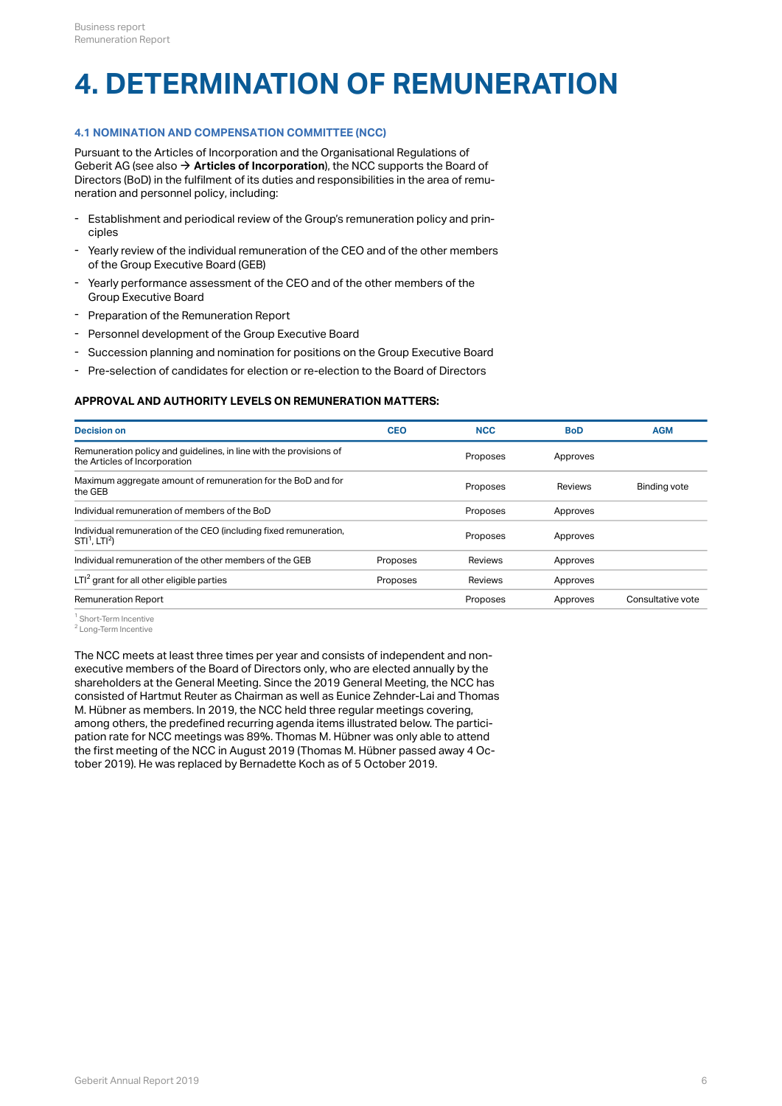# <span id="page-5-0"></span>**4. DETERMINATION OF REMUNERATION**

## **4.1 NOMINATION AND COMPENSATION COMMITTEE (NCC)**

Pursuant to the Articles of Incorporation and the Organisational Regulations of Geberit AG (see also  $\rightarrow$  [Articles of Incorporation](http://annualreport.geberit.com/geberit/annual/2019/gb/layout/../English/pdf/articles_of_incorporation_geberit_ag.pdf)), the NCC supports the Board of Directors (BoD) in the fulfilment of its duties and responsibilities in the area of remuneration and personnel policy, including:

- Establishment and periodical review of the Group's remuneration policy and principles -
- Yearly review of the individual remuneration of the CEO and of the other members of the Group Executive Board (GEB) -
- Yearly performance assessment of the CEO and of the other members of the Group Executive Board -
- Preparation of the Remuneration Report
- Personnel development of the Group Executive Board
- Succession planning and nomination for positions on the Group Executive Board
- Pre-selection of candidates for election or re-election to the Board of Directors

### **APPROVAL AND AUTHORITY LEVELS ON REMUNERATION MATTERS:**

| <b>Decision on</b>                                                                                  | <b>CEO</b> | <b>NCC</b> | <b>BoD</b>     | <b>AGM</b>          |
|-----------------------------------------------------------------------------------------------------|------------|------------|----------------|---------------------|
| Remuneration policy and guidelines, in line with the provisions of<br>the Articles of Incorporation |            | Proposes   | Approves       |                     |
| Maximum aggregate amount of remuneration for the BoD and for<br>the GEB                             |            | Proposes   | <b>Reviews</b> | <b>Binding vote</b> |
| Individual remuneration of members of the BoD                                                       |            | Proposes   | Approves       |                     |
| Individual remuneration of the CEO (including fixed remuneration,<br>$STI1$ . LTI <sup>2</sup> )    |            | Proposes   | Approves       |                     |
| Individual remuneration of the other members of the GEB                                             | Proposes   | Reviews    | Approves       |                     |
| $LTI2$ grant for all other eligible parties                                                         | Proposes   | Reviews    | Approves       |                     |
| <b>Remuneration Report</b>                                                                          |            | Proposes   | Approves       | Consultative vote   |

<sup>1</sup> Short-Term Incentive

<sup>2</sup> Long-Term Incentive

The NCC meets at least three times per year and consists of independent and nonexecutive members of the Board of Directors only, who are elected annually by the shareholders at the General Meeting. Since the 2019 General Meeting, the NCC has consisted of Hartmut Reuter as Chairman as well as Eunice Zehnder-Lai and Thomas M. Hübner as members. In 2019, the NCC held three regular meetings covering, among others, the predefined recurring agenda items illustrated below. The participation rate for NCC meetings was 89%. Thomas M. Hübner was only able to attend the first meeting of the NCC in August 2019 (Thomas M. Hübner passed away 4 October 2019). He was replaced by Bernadette Koch as of 5 October 2019.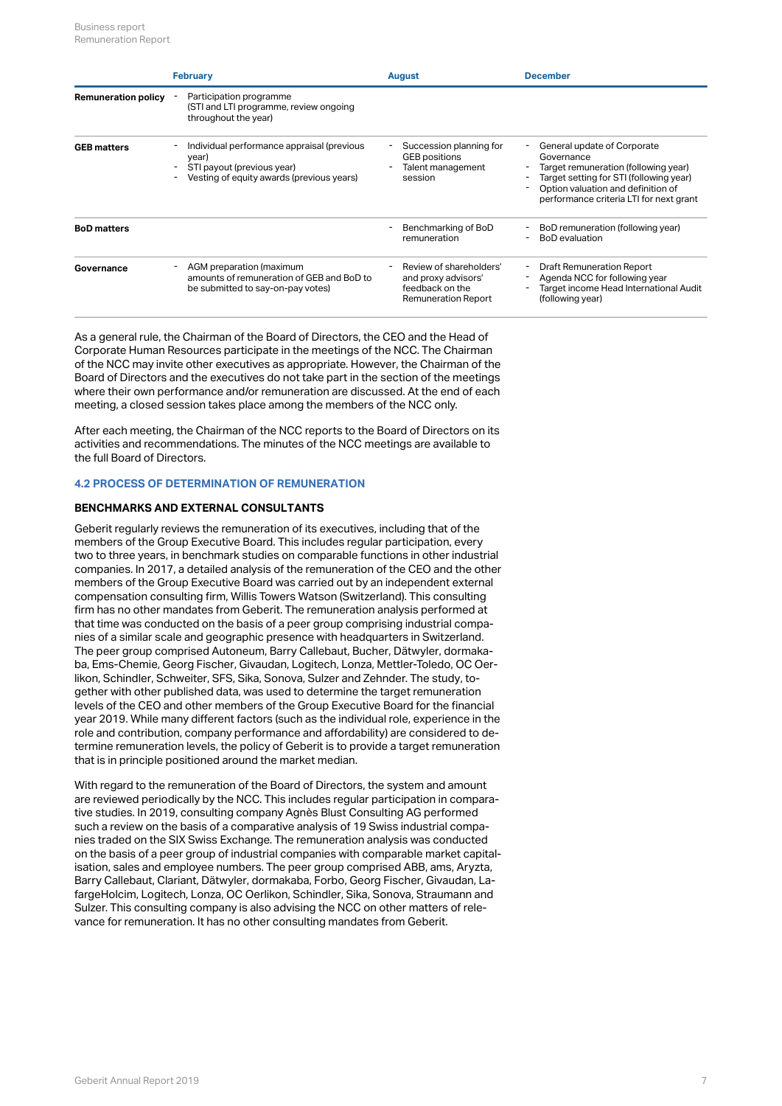|                            | <b>February</b>                                                                                                                | <b>August</b>                                                                                   | <b>December</b>                                                                                                                                                                                               |
|----------------------------|--------------------------------------------------------------------------------------------------------------------------------|-------------------------------------------------------------------------------------------------|---------------------------------------------------------------------------------------------------------------------------------------------------------------------------------------------------------------|
| <b>Remuneration policy</b> | Participation programme<br>(STI and LTI programme, review ongoing<br>throughout the year)                                      |                                                                                                 |                                                                                                                                                                                                               |
| <b>GEB matters</b>         | Individual performance appraisal (previous<br>year)<br>STI payout (previous year)<br>Vesting of equity awards (previous years) | Succession planning for<br><b>GEB</b> positions<br>Talent management<br>session                 | General update of Corporate<br>Governance<br>Target remuneration (following year)<br>Target setting for STI (following year)<br>Option valuation and definition of<br>performance criteria LTI for next grant |
| <b>BoD</b> matters         |                                                                                                                                | Benchmarking of BoD<br>remuneration                                                             | BoD remuneration (following year)<br><b>BoD</b> evaluation                                                                                                                                                    |
| Governance                 | AGM preparation (maximum<br>amounts of remuneration of GEB and BoD to<br>be submitted to say-on-pay votes)                     | Review of shareholders'<br>and proxy advisors'<br>feedback on the<br><b>Remuneration Report</b> | <b>Draft Remuneration Report</b><br>Agenda NCC for following year<br>Target income Head International Audit<br>(following year)                                                                               |

As a general rule, the Chairman of the Board of Directors, the CEO and the Head of Corporate Human Resources participate in the meetings of the NCC. The Chairman of the NCC may invite other executives as appropriate. However, the Chairman of the Board of Directors and the executives do not take part in the section of the meetings where their own performance and/or remuneration are discussed. At the end of each meeting, a closed session takes place among the members of the NCC only.

After each meeting, the Chairman of the NCC reports to the Board of Directors on its activities and recommendations. The minutes of the NCC meetings are available to the full Board of Directors.

## **4.2 PROCESS OF DETERMINATION OF REMUNERATION**

## **BENCHMARKS AND EXTERNAL CONSULTANTS**

Geberit regularly reviews the remuneration of its executives, including that of the members of the Group Executive Board. This includes regular participation, every two to three years, in benchmark studies on comparable functions in other industrial companies. In 2017, a detailed analysis of the remuneration of the CEO and the other members of the Group Executive Board was carried out by an independent external compensation consulting firm, Willis Towers Watson (Switzerland). This consulting firm has no other mandates from Geberit. The remuneration analysis performed at that time was conducted on the basis of a peer group comprising industrial companies of a similar scale and geographic presence with headquarters in Switzerland. The peer group comprised Autoneum, Barry Callebaut, Bucher, Dätwyler, dormakaba, Ems-Chemie, Georg Fischer, Givaudan, Logitech, Lonza, Mettler-Toledo, OC Oerlikon, Schindler, Schweiter, SFS, Sika, Sonova, Sulzer and Zehnder. The study, together with other published data, was used to determine the target remuneration levels of the CEO and other members of the Group Executive Board for the financial year 2019. While many different factors (such as the individual role, experience in the role and contribution, company performance and affordability) are considered to determine remuneration levels, the policy of Geberit is to provide a target remuneration that is in principle positioned around the market median.

With regard to the remuneration of the Board of Directors, the system and amount are reviewed periodically by the NCC. This includes regular participation in comparative studies. In 2019, consulting company Agnès Blust Consulting AG performed such a review on the basis of a comparative analysis of 19 Swiss industrial companies traded on the SIX Swiss Exchange. The remuneration analysis was conducted on the basis of a peer group of industrial companies with comparable market capitalisation, sales and employee numbers. The peer group comprised ABB, ams, Aryzta, Barry Callebaut, Clariant, Dätwyler, dormakaba, Forbo, Georg Fischer, Givaudan, LafargeHolcim, Logitech, Lonza, OC Oerlikon, Schindler, Sika, Sonova, Straumann and Sulzer. This consulting company is also advising the NCC on other matters of relevance for remuneration. It has no other consulting mandates from Geberit.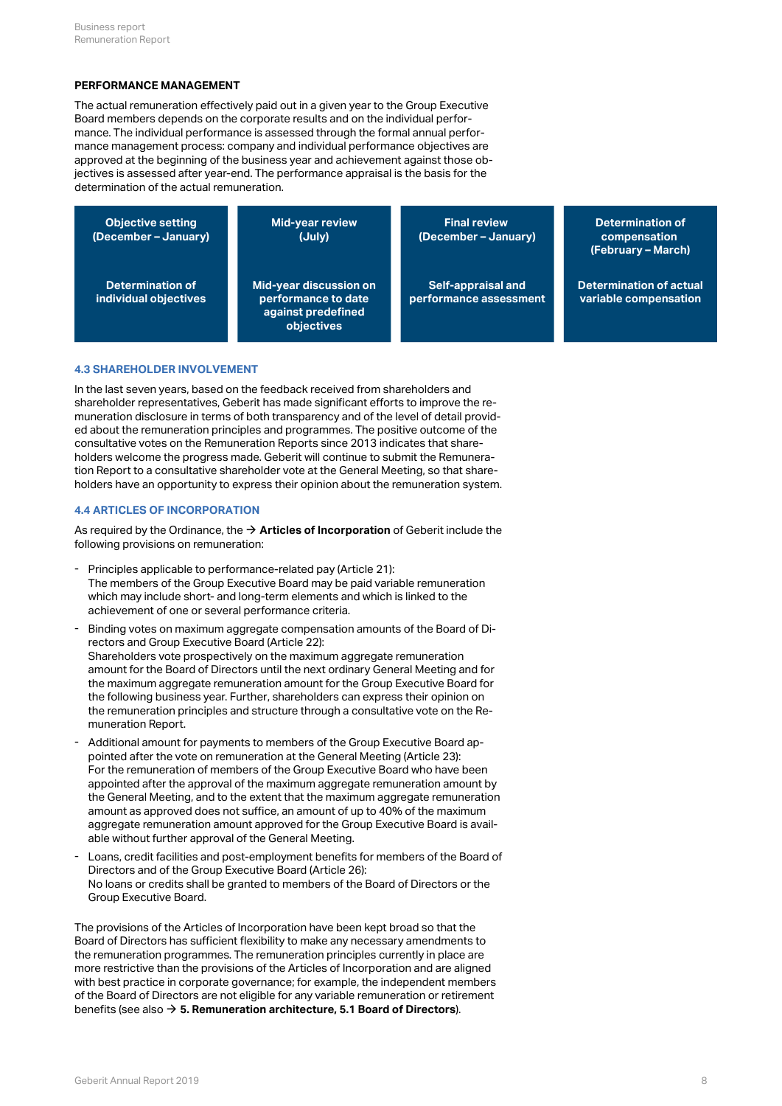#### **PERFORMANCE MANAGEMENT**

The actual remuneration effectively paid out in a given year to the Group Executive Board members depends on the corporate results and on the individual performance. The individual performance is assessed through the formal annual performance management process: company and individual performance objectives are approved at the beginning of the business year and achievement against those objectives is assessed after year-end. The performance appraisal is the basis for the determination of the actual remuneration.

| <b>Objective setting</b><br>(December - January) | <b>Mid-year review</b><br>(July)                                                  | <b>Final review</b><br>(December – January)  | Determination of<br>compensation<br>(February - March)  |
|--------------------------------------------------|-----------------------------------------------------------------------------------|----------------------------------------------|---------------------------------------------------------|
| Determination of<br>individual objectives        | Mid-year discussion on<br>performance to date<br>against predefined<br>objectives | Self-appraisal and<br>performance assessment | <b>Determination of actual</b><br>variable compensation |

#### **4.3 SHAREHOLDER INVOLVEMENT**

In the last seven years, based on the feedback received from shareholders and shareholder representatives, Geberit has made significant efforts to improve the remuneration disclosure in terms of both transparency and of the level of detail provided about the remuneration principles and programmes. The positive outcome of the consultative votes on the Remuneration Reports since 2013 indicates that shareholders welcome the progress made. Geberit will continue to submit the Remuneration Report to a consultative shareholder vote at the General Meeting, so that shareholders have an opportunity to express their opinion about the remuneration system.

### **4.4 ARTICLES OF INCORPORATION**

As required by the Ordinance, the  $\rightarrow$  [Articles of Incorporation](http://annualreport.geberit.com/geberit/annual/2019/gb/layout/../English/pdf/articles_of_incorporation_geberit_ag.pdf) of Geberit include the following provisions on remuneration:

- Principles applicable to performance-related pay (Article 21): The members of the Group Executive Board may be paid variable remuneration which may include short- and long-term elements and which is linked to the achievement of one or several performance criteria.
- Binding votes on maximum aggregate compensation amounts of the Board of Directors and Group Executive Board (Article 22): Shareholders vote prospectively on the maximum aggregate remuneration amount for the Board of Directors until the next ordinary General Meeting and for the maximum aggregate remuneration amount for the Group Executive Board for the following business year. Further, shareholders can express their opinion on the remuneration principles and structure through a consultative vote on the Remuneration Report. -
- Additional amount for payments to members of the Group Executive Board appointed after the vote on remuneration at the General Meeting (Article 23): For the remuneration of members of the Group Executive Board who have been appointed after the approval of the maximum aggregate remuneration amount by the General Meeting, and to the extent that the maximum aggregate remuneration amount as approved does not suffice, an amount of up to 40% of the maximum aggregate remuneration amount approved for the Group Executive Board is available without further approval of the General Meeting.
- Loans, credit facilities and post-employment benefits for members of the Board of Directors and of the Group Executive Board (Article 26): No loans or credits shall be granted to members of the Board of Directors or the Group Executive Board. -

The provisions of the Articles of Incorporation have been kept broad so that the Board of Directors has sufficient flexibility to make any necessary amendments to the remuneration programmes. The remuneration principles currently in place are more restrictive than the provisions of the Articles of Incorporation and are aligned with best practice in corporate governance; for example, the independent members of the Board of Directors are not eligible for any variable remuneration or retirement benefits (see also [\\$](#page-8-2) **[5. Remuneration architecture, 5.1 Board of Directors](#page-8-2)**).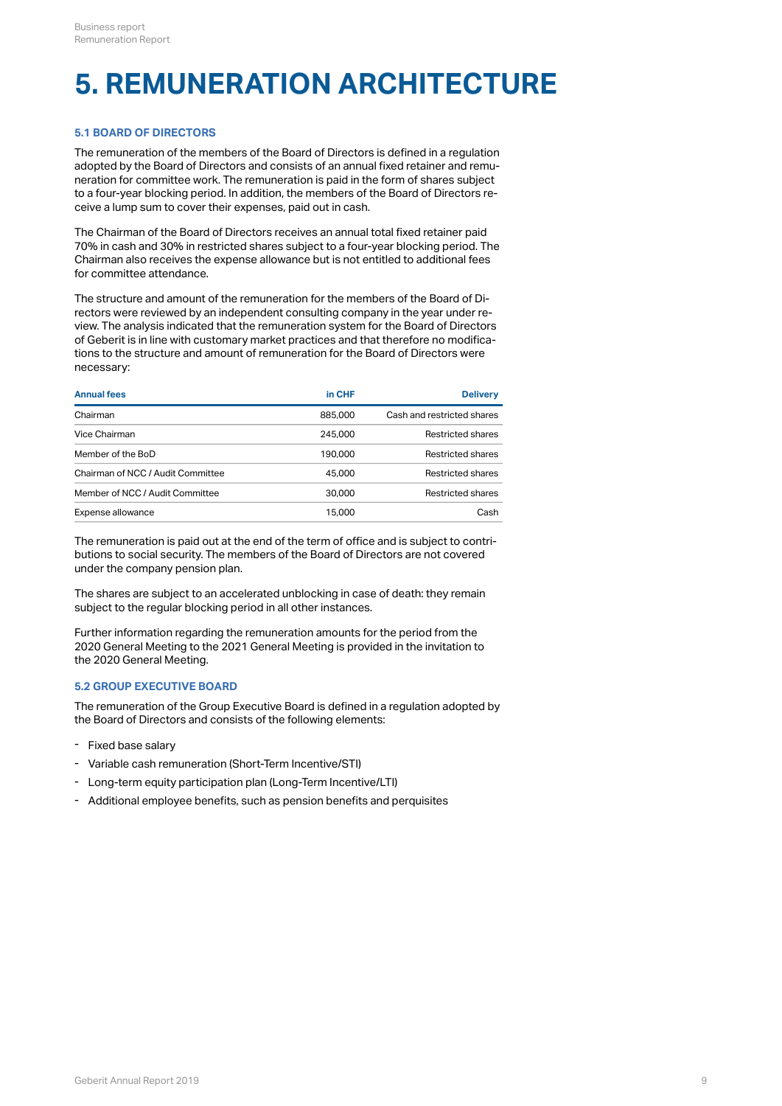# <span id="page-8-2"></span>**5. REMUNERATION ARCHITECTURE**

## <span id="page-8-0"></span>**5.1 BOARD OF DIRECTORS**

The remuneration of the members of the Board of Directors is defined in a regulation adopted by the Board of Directors and consists of an annual fixed retainer and remuneration for committee work. The remuneration is paid in the form of shares subject to a four-year blocking period. In addition, the members of the Board of Directors receive a lump sum to cover their expenses, paid out in cash.

The Chairman of the Board of Directors receives an annual total fixed retainer paid 70% in cash and 30% in restricted shares subject to a four-year blocking period. The Chairman also receives the expense allowance but is not entitled to additional fees for committee attendance.

The structure and amount of the remuneration for the members of the Board of Directors were reviewed by an independent consulting company in the year under review. The analysis indicated that the remuneration system for the Board of Directors of Geberit is in line with customary market practices and that therefore no modifications to the structure and amount of remuneration for the Board of Directors were necessary:

| <b>Annual fees</b>                | in CHF  | <b>Delivery</b>            |
|-----------------------------------|---------|----------------------------|
| Chairman                          | 885,000 | Cash and restricted shares |
| Vice Chairman                     | 245,000 | Restricted shares          |
| Member of the BoD                 | 190.000 | Restricted shares          |
| Chairman of NCC / Audit Committee | 45.000  | Restricted shares          |
| Member of NCC / Audit Committee   | 30,000  | <b>Restricted shares</b>   |
| Expense allowance                 | 15,000  | Cash                       |
|                                   |         |                            |

The remuneration is paid out at the end of the term of office and is subject to contributions to social security. The members of the Board of Directors are not covered under the company pension plan.

The shares are subject to an accelerated unblocking in case of death: they remain subject to the regular blocking period in all other instances.

Further information regarding the remuneration amounts for the period from the 2020 General Meeting to the 2021 General Meeting is provided in the invitation to the 2020 General Meeting.

## <span id="page-8-1"></span>**5.2 GROUP EXECUTIVE BOARD**

The remuneration of the Group Executive Board is defined in a regulation adopted by the Board of Directors and consists of the following elements:

- Fixed base salary
- Variable cash remuneration (Short-Term Incentive/STI)
- Long-term equity participation plan (Long-Term Incentive/LTI)
- Additional employee benefits, such as pension benefits and perquisites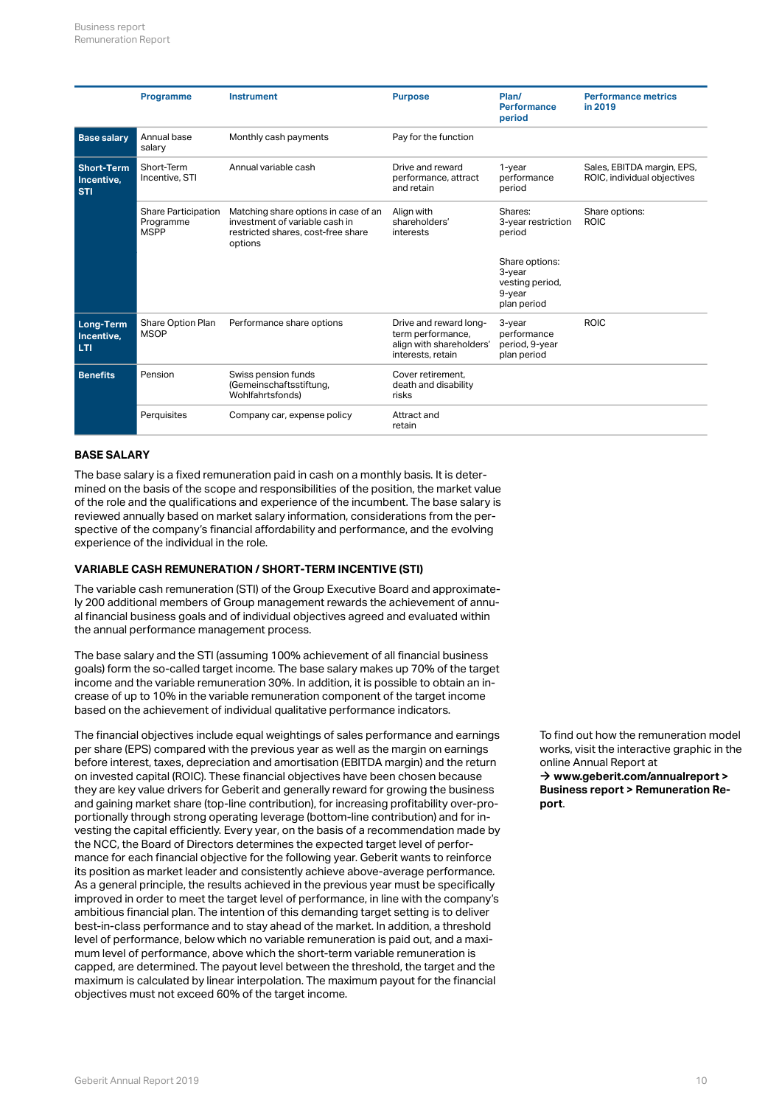|                                               | <b>Programme</b>                                       | <b>Instrument</b>                                                                                                       | <b>Purpose</b>                                                                               | Plan/<br><b>Performance</b><br>period                                | <b>Performance metrics</b><br>in 2019                     |
|-----------------------------------------------|--------------------------------------------------------|-------------------------------------------------------------------------------------------------------------------------|----------------------------------------------------------------------------------------------|----------------------------------------------------------------------|-----------------------------------------------------------|
| <b>Base salary</b>                            | Annual base<br>salary                                  | Monthly cash payments                                                                                                   | Pay for the function                                                                         |                                                                      |                                                           |
| <b>Short-Term</b><br>Incentive,<br><b>STI</b> | Short-Term<br>Incentive, STI                           | Annual variable cash                                                                                                    | Drive and reward<br>performance, attract<br>and retain                                       | $1$ -year<br>performance<br>period                                   | Sales, EBITDA margin, EPS,<br>ROIC, individual objectives |
|                                               | <b>Share Participation</b><br>Programme<br><b>MSPP</b> | Matching share options in case of an<br>investment of variable cash in<br>restricted shares, cost-free share<br>options | Align with<br>shareholders'<br>interests                                                     | Shares:<br>3-year restriction<br>period                              | Share options:<br><b>ROIC</b>                             |
|                                               |                                                        |                                                                                                                         |                                                                                              | Share options:<br>3-year<br>vesting period,<br>9-year<br>plan period |                                                           |
| <b>Long-Term</b><br>Incentive,<br>LTI         | Share Option Plan<br><b>MSOP</b>                       | Performance share options                                                                                               | Drive and reward long-<br>term performance,<br>align with shareholders'<br>interests, retain | 3-year<br>performance<br>period, 9-year<br>plan period               | <b>ROIC</b>                                               |
| <b>Benefits</b>                               | Pension                                                | Swiss pension funds<br>(Gemeinschaftsstiftung,<br>Wohlfahrtsfonds)                                                      | Cover retirement.<br>death and disability<br>risks                                           |                                                                      |                                                           |
|                                               | Perquisites                                            | Company car, expense policy                                                                                             | Attract and<br>retain                                                                        |                                                                      |                                                           |

## **BASE SALARY**

The base salary is a fixed remuneration paid in cash on a monthly basis. It is determined on the basis of the scope and responsibilities of the position, the market value of the role and the qualifications and experience of the incumbent. The base salary is reviewed annually based on market salary information, considerations from the perspective of the company's financial affordability and performance, and the evolving experience of the individual in the role.

## **VARIABLE CASH REMUNERATION / SHORT-TERM INCENTIVE (STI)**

The variable cash remuneration (STI) of the Group Executive Board and approximately 200 additional members of Group management rewards the achievement of annual financial business goals and of individual objectives agreed and evaluated within the annual performance management process.

The base salary and the STI (assuming 100% achievement of all financial business goals) form the so-called target income. The base salary makes up 70% of the target income and the variable remuneration 30%. In addition, it is possible to obtain an increase of up to 10% in the variable remuneration component of the target income based on the achievement of individual qualitative performance indicators.

The financial objectives include equal weightings of sales performance and earnings per share (EPS) compared with the previous year as well as the margin on earnings before interest, taxes, depreciation and amortisation (EBITDA margin) and the return on invested capital (ROIC). These financial objectives have been chosen because they are key value drivers for Geberit and generally reward for growing the business and gaining market share (top-line contribution), for increasing profitability over-proportionally through strong operating leverage (bottom-line contribution) and for investing the capital efficiently. Every year, on the basis of a recommendation made by the NCC, the Board of Directors determines the expected target level of performance for each financial objective for the following year. Geberit wants to reinforce its position as market leader and consistently achieve above-average performance. As a general principle, the results achieved in the previous year must be specifically improved in order to meet the target level of performance, in line with the company's ambitious financial plan. The intention of this demanding target setting is to deliver best-in-class performance and to stay ahead of the market. In addition, a threshold level of performance, below which no variable remuneration is paid out, and a maximum level of performance, above which the short-term variable remuneration is capped, are determined. The payout level between the threshold, the target and the maximum is calculated by linear interpolation. The maximum payout for the financial objectives must not exceed 60% of the target income.

To find out how the remuneration model works, visit the interactive graphic in the online Annual Report at → www.geberit.com/annualreport > **[Business report > Remuneration Re](http://geschaeftsbericht.geberit.com/reports/geberit/annual/2019/gb/English/1070/remuneration-report.html)[port](http://geschaeftsbericht.geberit.com/reports/geberit/annual/2019/gb/English/1070/remuneration-report.html)** .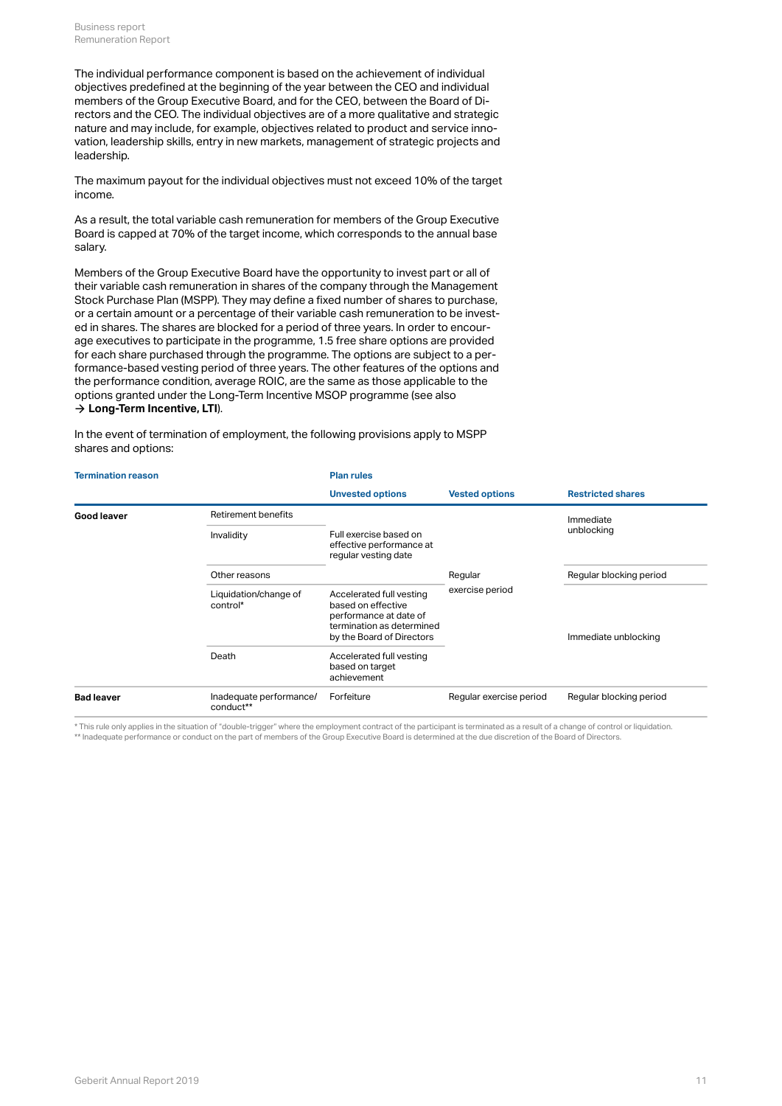The individual performance component is based on the achievement of individual objectives predefined at the beginning of the year between the CEO and individual members of the Group Executive Board, and for the CEO, between the Board of Directors and the CEO. The individual objectives are of a more qualitative and strategic nature and may include, for example, objectives related to product and service innovation, leadership skills, entry in new markets, management of strategic projects and leadership.

The maximum payout for the individual objectives must not exceed 10% of the target income.

As a result, the total variable cash remuneration for members of the Group Executive Board is capped at 70% of the target income, which corresponds to the annual base salary.

Members of the Group Executive Board have the opportunity to invest part or all of their variable cash remuneration in shares of the company through the Management Stock Purchase Plan (MSPP). They may define a fixed number of shares to purchase, or a certain amount or a percentage of their variable cash remuneration to be invested in shares. The shares are blocked for a period of three years. In order to encourage executives to participate in the programme, 1.5 free share options are provided for each share purchased through the programme. The options are subject to a performance-based vesting period of three years. The other features of the options and the performance condition, average ROIC, are the same as those applicable to the options granted under the Long-Term Incentive MSOP programme (see also  $\rightarrow$  [Long-Term Incentive, LTI](#page-11-0)).

In the event of termination of employment, the following provisions apply to MSPP shares and options:

| <b>Termination reason</b> |                                      | <b>Plan rules</b>                                                                                                                  |                         |                          |  |
|---------------------------|--------------------------------------|------------------------------------------------------------------------------------------------------------------------------------|-------------------------|--------------------------|--|
|                           |                                      | <b>Unvested options</b>                                                                                                            | <b>Vested options</b>   | <b>Restricted shares</b> |  |
| Good leaver               | Retirement benefits                  |                                                                                                                                    |                         | Immediate                |  |
|                           | Invalidity                           | Full exercise based on<br>effective performance at<br>regular vesting date                                                         |                         | unblocking               |  |
|                           | Other reasons                        |                                                                                                                                    | Regular                 | Regular blocking period  |  |
|                           | Liquidation/change of<br>control*    | Accelerated full vesting<br>based on effective<br>performance at date of<br>termination as determined<br>by the Board of Directors | exercise period         | Immediate unblocking     |  |
|                           | Death                                | Accelerated full vesting<br>based on target<br>achievement                                                                         |                         |                          |  |
| <b>Bad leaver</b>         | Inadequate performance/<br>conduct** | Forfeiture                                                                                                                         | Regular exercise period | Regular blocking period  |  |

\* This rule only applies in the situation of "double-trigger" where the employment contract of the participant is terminated as a result of a change of control or liquidation. \*\* Inadequate performance or conduct on the part of members of the Group Executive Board is determined at the due discretion of the Board of Directors.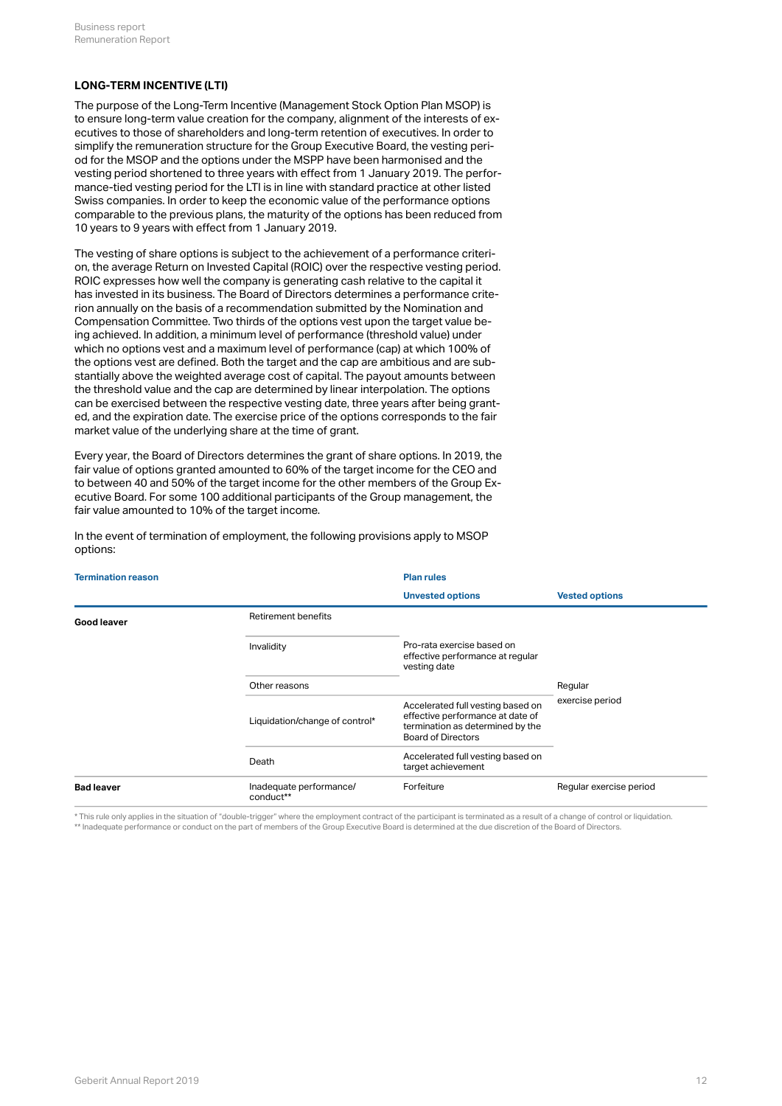## <span id="page-11-0"></span>**LONG-TERM INCENTIVE (LTI)**

The purpose of the Long-Term Incentive (Management Stock Option Plan MSOP) is to ensure long-term value creation for the company, alignment of the interests of executives to those of shareholders and long-term retention of executives. In order to simplify the remuneration structure for the Group Executive Board, the vesting period for the MSOP and the options under the MSPP have been harmonised and the vesting period shortened to three years with effect from 1 January 2019. The performance-tied vesting period for the LTI is in line with standard practice at other listed Swiss companies. In order to keep the economic value of the performance options comparable to the previous plans, the maturity of the options has been reduced from 10 years to 9 years with effect from 1 January 2019.

The vesting of share options is subject to the achievement of a performance criterion, the average Return on Invested Capital (ROIC) over the respective vesting period. ROIC expresses how well the company is generating cash relative to the capital it has invested in its business. The Board of Directors determines a performance criterion annually on the basis of a recommendation submitted by the Nomination and Compensation Committee. Two thirds of the options vest upon the target value being achieved. In addition, a minimum level of performance (threshold value) under which no options vest and a maximum level of performance (cap) at which 100% of the options vest are defined. Both the target and the cap are ambitious and are substantially above the weighted average cost of capital. The payout amounts between the threshold value and the cap are determined by linear interpolation. The options can be exercised between the respective vesting date, three years after being granted, and the expiration date. The exercise price of the options corresponds to the fair market value of the underlying share at the time of grant.

Every year, the Board of Directors determines the grant of share options. In 2019, the fair value of options granted amounted to 60% of the target income for the CEO and to between 40 and 50% of the target income for the other members of the Group Executive Board. For some 100 additional participants of the Group management, the fair value amounted to 10% of the target income.

| <b>Termination reason</b> |                                      | <b>Plan rules</b>                                                                                                                      |                         |  |
|---------------------------|--------------------------------------|----------------------------------------------------------------------------------------------------------------------------------------|-------------------------|--|
|                           |                                      | <b>Unvested options</b>                                                                                                                | <b>Vested options</b>   |  |
| Good leaver               | Retirement benefits                  |                                                                                                                                        |                         |  |
|                           | Invalidity                           | Pro-rata exercise based on<br>effective performance at regular<br>vesting date                                                         |                         |  |
|                           | Other reasons                        |                                                                                                                                        | Regular                 |  |
|                           | Liquidation/change of control*       | Accelerated full vesting based on<br>effective performance at date of<br>termination as determined by the<br><b>Board of Directors</b> | exercise period         |  |
|                           | Death                                | Accelerated full vesting based on<br>target achievement                                                                                |                         |  |
| <b>Bad leaver</b>         | Inadequate performance/<br>conduct** | Forfeiture                                                                                                                             | Regular exercise period |  |

In the event of termination of employment, the following provisions apply to MSOP options:

\* This rule only applies in the situation of "double-trigger" where the employment contract of the participant is terminated as a result of a change of control or liquidation. \*\* Inadequate performance or conduct on the part of members of the Group Executive Board is determined at the due discretion of the Board of Directors.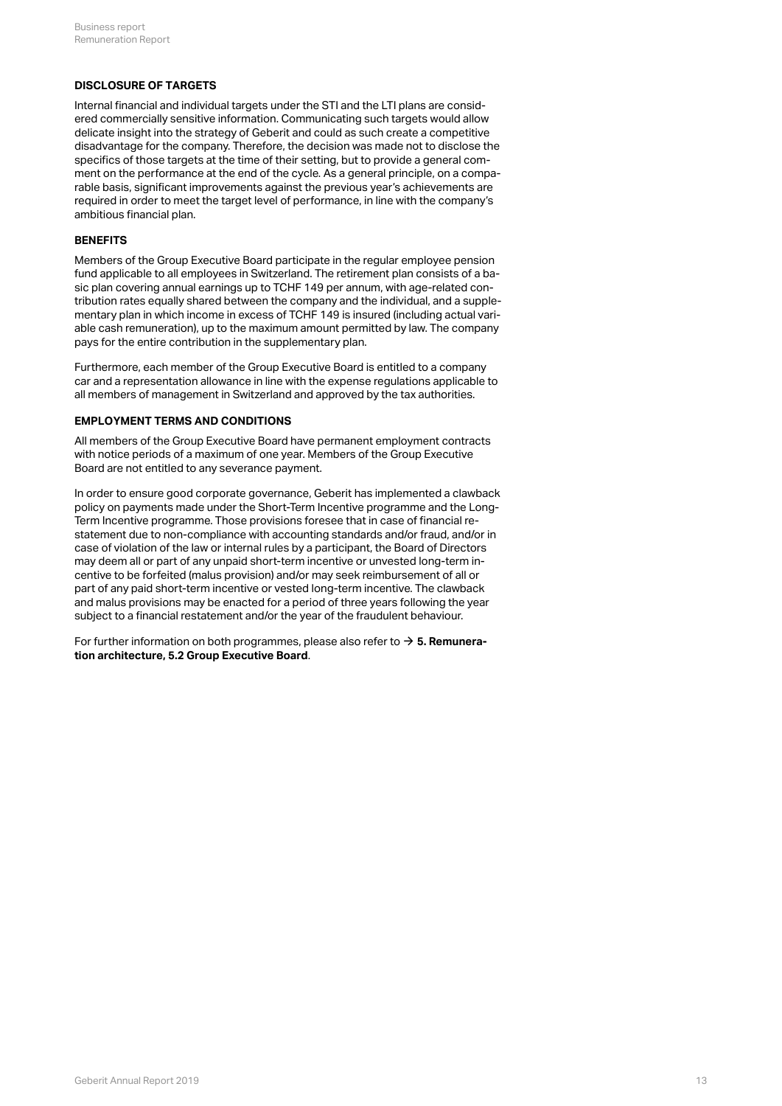## **DISCLOSURE OF TARGETS**

Internal financial and individual targets under the STI and the LTI plans are considered commercially sensitive information. Communicating such targets would allow delicate insight into the strategy of Geberit and could as such create a competitive disadvantage for the company. Therefore, the decision was made not to disclose the specifics of those targets at the time of their setting, but to provide a general comment on the performance at the end of the cycle. As a general principle, on a comparable basis, significant improvements against the previous year's achievements are required in order to meet the target level of performance, in line with the company's ambitious financial plan.

#### **BENEFITS**

Members of the Group Executive Board participate in the regular employee pension fund applicable to all employees in Switzerland. The retirement plan consists of a basic plan covering annual earnings up to TCHF 149 per annum, with age-related contribution rates equally shared between the company and the individual, and a supplementary plan in which income in excess of TCHF 149 is insured (including actual variable cash remuneration), up to the maximum amount permitted by law. The company pays for the entire contribution in the supplementary plan.

Furthermore, each member of the Group Executive Board is entitled to a company car and a representation allowance in line with the expense regulations applicable to all members of management in Switzerland and approved by the tax authorities.

#### **EMPLOYMENT TERMS AND CONDITIONS**

All members of the Group Executive Board have permanent employment contracts with notice periods of a maximum of one year. Members of the Group Executive Board are not entitled to any severance payment.

In order to ensure good corporate governance, Geberit has implemented a clawback policy on payments made under the Short-Term Incentive programme and the Long-Term Incentive programme. Those provisions foresee that in case of financial restatement due to non-compliance with accounting standards and/or fraud, and/or in case of violation of the law or internal rules by a participant, the Board of Directors may deem all or part of any unpaid short-term incentive or unvested long-term incentive to be forfeited (malus provision) and/or may seek reimbursement of all or part of any paid short-term incentive or vested long-term incentive. The clawback and malus provisions may be enacted for a period of three years following the year subject to a financial restatement and/or the year of the fraudulent behaviour.

For further information on both programmes, please also refer to **[5. Remunera-](#page-8-1)**[\\$](#page-8-1) **[tion architecture, 5.2 Group Executive Board](#page-8-1)** .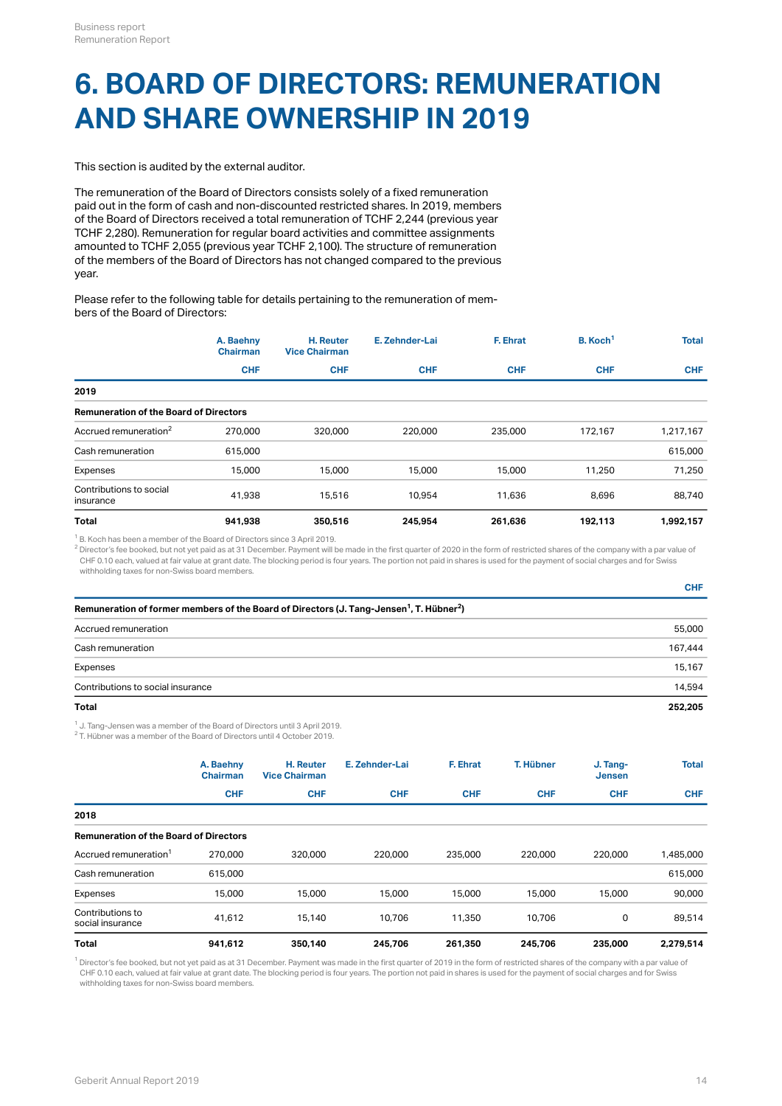## **6. BOARD OF DIRECTORS: REMUNERATION AND SHARE OWNERSHIP IN 2019**

This section is audited by the external auditor.

The remuneration of the Board of Directors consists solely of a fixed remuneration paid out in the form of cash and non-discounted restricted shares. In 2019, members of the Board of Directors received a total remuneration of TCHF 2,244 (previous year TCHF 2,280). Remuneration for regular board activities and committee assignments amounted to TCHF 2,055 (previous year TCHF 2,100). The structure of remuneration of the members of the Board of Directors has not changed compared to the previous year.

Please refer to the following table for details pertaining to the remuneration of members of the Board of Directors:

|                                               | A. Baehny<br><b>Chairman</b> | H. Reuter<br><b>Vice Chairman</b> | E. Zehnder-Lai | F. Ehrat   | B. Koch <sup>1</sup> | <b>Total</b> |
|-----------------------------------------------|------------------------------|-----------------------------------|----------------|------------|----------------------|--------------|
|                                               | <b>CHF</b>                   | <b>CHF</b>                        | <b>CHF</b>     | <b>CHF</b> | <b>CHF</b>           | <b>CHF</b>   |
| 2019                                          |                              |                                   |                |            |                      |              |
| <b>Remuneration of the Board of Directors</b> |                              |                                   |                |            |                      |              |
| Accrued remuneration <sup>2</sup>             | 270,000                      | 320,000                           | 220,000        | 235,000    | 172,167              | 1,217,167    |
| Cash remuneration                             | 615,000                      |                                   |                |            |                      | 615,000      |
| Expenses                                      | 15,000                       | 15,000                            | 15,000         | 15,000     | 11.250               | 71.250       |
| Contributions to social<br>insurance          | 41.938                       | 15,516                            | 10.954         | 11,636     | 8,696                | 88,740       |
| <b>Total</b>                                  | 941.938                      | 350,516                           | 245.954        | 261.636    | 192,113              | 1,992,157    |

 $1$  B. Koch has been a member of the Board of Directors since 3 April 2019.

 $^2$  Director's fee booked, but not yet paid as at 31 December. Payment will be made in the first quarter of 2020 in the form of restricted shares of the company with a par value of CHF 0.10 each, valued at fair value at grant date. The blocking period is four years. The portion not paid in shares is used for the payment of social charges and for Swiss withholding taxes for non-Swiss board members.

| ٧              |  |
|----------------|--|
| ×.             |  |
|                |  |
| ۰.<br>×<br>___ |  |

| Remuneration of former members of the Board of Directors (J. Tang-Jensen <sup>1</sup> , T. Hübner <sup>2</sup> ) |         |  |  |  |
|------------------------------------------------------------------------------------------------------------------|---------|--|--|--|
| Accrued remuneration                                                                                             | 55,000  |  |  |  |
| Cash remuneration                                                                                                | 167.444 |  |  |  |
| Expenses                                                                                                         | 15.167  |  |  |  |
| Contributions to social insurance                                                                                | 14.594  |  |  |  |
| Total                                                                                                            | 252.205 |  |  |  |

 $^1$  J. Tang-Jensen was a member of the Board of Directors until 3 April 2019.

 $2$  T. Hübner was a member of the Board of Directors until 4 October 2019.

|                                               | A. Baehny<br><b>Chairman</b> | <b>H.</b> Reuter<br><b>Vice Chairman</b> | E. Zehnder-Lai | F. Ehrat   | T. Hübner  | J. Tang-<br><b>Jensen</b> | <b>Total</b> |
|-----------------------------------------------|------------------------------|------------------------------------------|----------------|------------|------------|---------------------------|--------------|
|                                               | <b>CHF</b>                   | <b>CHF</b>                               | <b>CHF</b>     | <b>CHF</b> | <b>CHF</b> | <b>CHF</b>                | <b>CHF</b>   |
| 2018                                          |                              |                                          |                |            |            |                           |              |
| <b>Remuneration of the Board of Directors</b> |                              |                                          |                |            |            |                           |              |
| Accrued remuneration <sup>1</sup>             | 270.000                      | 320,000                                  | 220,000        | 235,000    | 220,000    | 220,000                   | 1,485,000    |
| Cash remuneration                             | 615,000                      |                                          |                |            |            |                           | 615,000      |
| Expenses                                      | 15,000                       | 15,000                                   | 15,000         | 15,000     | 15,000     | 15,000                    | 90,000       |
| Contributions to<br>social insurance          | 41.612                       | 15.140                                   | 10.706         | 11.350     | 10.706     | 0                         | 89.514       |
| Total                                         | 941,612                      | 350,140                                  | 245,706        | 261,350    | 245,706    | 235,000                   | 2,279,514    |

 $^{\rm 1}$  Director's fee booked, but not yet paid as at 31 December. Payment was made in the first quarter of 2019 in the form of restricted shares of the company with a par value of CHF 0.10 each, valued at fair value at grant date. The blocking period is four years. The portion not paid in shares is used for the payment of social charges and for Swiss withholding taxes for non-Swiss board members.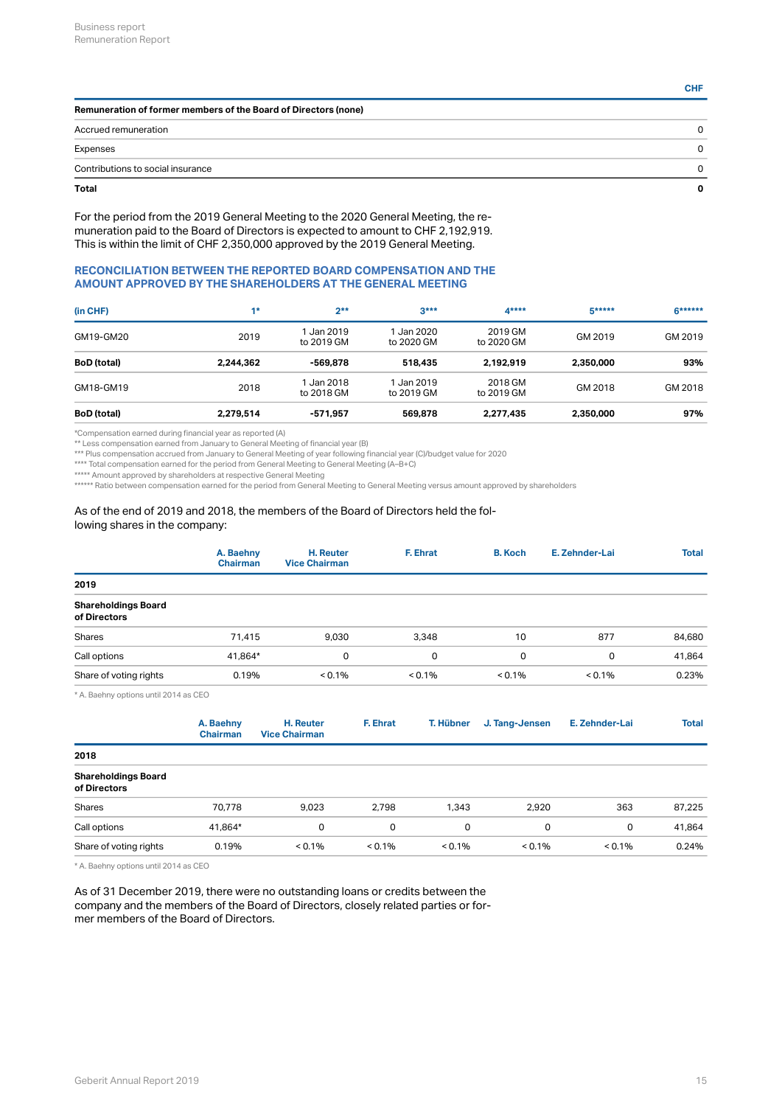| ٧       |     |  |
|---------|-----|--|
| ×.      |     |  |
|         |     |  |
| ۰,<br>× | ___ |  |

| Remuneration of former members of the Board of Directors (none) |    |  |  |  |
|-----------------------------------------------------------------|----|--|--|--|
| Accrued remuneration                                            | 0  |  |  |  |
| Expenses                                                        | 0  |  |  |  |
| Contributions to social insurance                               | n. |  |  |  |
| Total                                                           | O  |  |  |  |

For the period from the 2019 General Meeting to the 2020 General Meeting, the remuneration paid to the Board of Directors is expected to amount to CHF 2,192,919. This is within the limit of CHF 2,350,000 approved by the 2019 General Meeting.

## **RECONCILIATION BETWEEN THE REPORTED BOARD COMPENSATION AND THE AMOUNT APPROVED BY THE SHAREHOLDERS AT THE GENERAL MEETING**

| (in CHF)           | $4*$      | $2**$                    | $3***$                 | $A***$                | <b>G*****</b> | $6******$ |
|--------------------|-----------|--------------------------|------------------------|-----------------------|---------------|-----------|
| GM19-GM20          | 2019      | 1 Jan 2019<br>to 2019 GM | Jan 2020<br>to 2020 GM | 2019 GM<br>to 2020 GM | GM 2019       | GM 2019   |
| <b>BoD</b> (total) | 2.244.362 | -569.878                 | 518,435                | 2.192.919             | 2,350,000     | 93%       |
| GM18-GM19          | 2018      | 1 Jan 2018<br>to 2018 GM | Jan 2019<br>to 2019 GM | 2018 GM<br>to 2019 GM | GM 2018       | GM 2018   |
| <b>BoD</b> (total) | 2.279.514 | -571.957                 | 569,878                | 2.277.435             | 2.350,000     | 97%       |

\*Compensation earned during financial year as reported (A)

\*\* Less compensation earned from January to General Meeting of financial year (B)

\*\*\* Plus compensation accrued from January to General Meeting of year following financial year (C)/budget value for 2020

\*\*\*\* Total compensation earned for the period from General Meeting to General Meeting (A–B+C)

\*\*\*\*\* Amount approved by shareholders at respective General Meeting

\*\*\*\*\*\* Ratio between compensation earned for the period from General Meeting to General Meeting versus amount approved by shareholders

#### As of the end of 2019 and 2018, the members of the Board of Directors held the following shares in the company:

|                                                                | A. Baehny<br><b>Chairman</b> | <b>H.</b> Reuter<br><b>Vice Chairman</b> | F. Ehrat  | <b>B.</b> Koch | E. Zehnder-Lai | <b>Total</b> |
|----------------------------------------------------------------|------------------------------|------------------------------------------|-----------|----------------|----------------|--------------|
| 2019                                                           |                              |                                          |           |                |                |              |
| <b>Shareholdings Board</b><br>of Directors                     |                              |                                          |           |                |                |              |
| Shares                                                         | 71,415                       | 9,030                                    | 3,348     | 10             | 877            | 84,680       |
| Call options                                                   | 41.864*                      | 0                                        | 0         | 0              | 0              | 41,864       |
| Share of voting rights                                         | 0.19%                        | $< 0.1\%$                                | $< 0.1\%$ | $< 0.1\%$      | $< 0.1\%$      | 0.23%        |
| $\cdots$ $\cdots$ $\cdots$ $\cdots$ $\cdots$ $\cdots$ $\cdots$ |                              |                                          |           |                |                |              |

A. Baehny options until 2014 as CEO

|                                            | A. Baehny<br><b>Chairman</b> | H. Reuter<br><b>Vice Chairman</b> | F. Ehrat  | T. Hübner | J. Tang-Jensen | E. Zehnder-Lai | <b>Total</b> |
|--------------------------------------------|------------------------------|-----------------------------------|-----------|-----------|----------------|----------------|--------------|
| 2018                                       |                              |                                   |           |           |                |                |              |
| <b>Shareholdings Board</b><br>of Directors |                              |                                   |           |           |                |                |              |
| <b>Shares</b>                              | 70.778                       | 9.023                             | 2.798     | 1.343     | 2.920          | 363            | 87.225       |
| Call options                               | 41.864*                      | 0                                 | 0         | 0         | 0              | 0              | 41.864       |
| Share of voting rights                     | 0.19%                        | $< 0.1\%$                         | $< 0.1\%$ | $< 0.1\%$ | $< 0.1\%$      | $< 0.1\%$      | 0.24%        |

\* A. Baehny options until 2014 as CEO

As of 31 December 2019, there were no outstanding loans or credits between the company and the members of the Board of Directors, closely related parties or former members of the Board of Directors.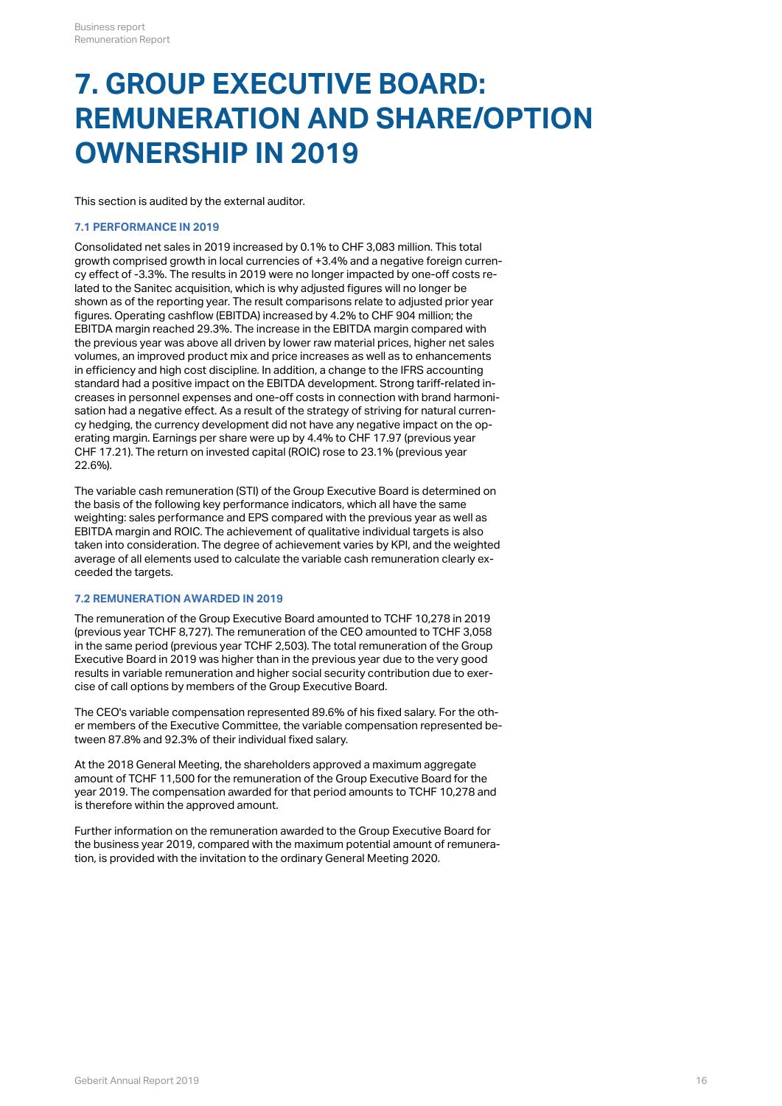## **7. GROUP EXECUTIVE BOARD: REMUNERATION AND SHARE/OPTION OWNERSHIP IN 2019**

This section is audited by the external auditor.

### <span id="page-15-0"></span>**7.1 PERFORMANCE IN 2019**

Consolidated net sales in 2019 increased by 0.1% to CHF 3,083 million. This total growth comprised growth in local currencies of +3.4% and a negative foreign currency effect of -3.3%. The results in 2019 were no longer impacted by one-off costs related to the Sanitec acquisition, which is why adjusted figures will no longer be shown as of the reporting year. The result comparisons relate to adjusted prior year figures. Operating cashflow (EBITDA) increased by 4.2% to CHF 904 million; the EBITDA margin reached 29.3%. The increase in the EBITDA margin compared with the previous year was above all driven by lower raw material prices, higher net sales volumes, an improved product mix and price increases as well as to enhancements in efficiency and high cost discipline. In addition, a change to the IFRS accounting standard had a positive impact on the EBITDA development. Strong tariff-related increases in personnel expenses and one-off costs in connection with brand harmonisation had a negative effect. As a result of the strategy of striving for natural currency hedging, the currency development did not have any negative impact on the operating margin. Earnings per share were up by 4.4% to CHF 17.97 (previous year CHF 17.21). The return on invested capital (ROIC) rose to 23.1% (previous year 22.6%).

The variable cash remuneration (STI) of the Group Executive Board is determined on the basis of the following key performance indicators, which all have the same weighting: sales performance and EPS compared with the previous year as well as EBITDA margin and ROIC. The achievement of qualitative individual targets is also taken into consideration. The degree of achievement varies by KPI, and the weighted average of all elements used to calculate the variable cash remuneration clearly exceeded the targets.

## **7.2 REMUNERATION AWARDED IN 2019**

The remuneration of the Group Executive Board amounted to TCHF 10,278 in 2019 (previous year TCHF 8,727). The remuneration of the CEO amounted to TCHF 3,058 in the same period (previous year TCHF 2,503). The total remuneration of the Group Executive Board in 2019 was higher than in the previous year due to the very good results in variable remuneration and higher social security contribution due to exercise of call options by members of the Group Executive Board.

The CEO's variable compensation represented 89.6% of his fixed salary. For the other members of the Executive Committee, the variable compensation represented between 87.8% and 92.3% of their individual fixed salary.

At the 2018 General Meeting, the shareholders approved a maximum aggregate amount of TCHF 11,500 for the remuneration of the Group Executive Board for the year 2019. The compensation awarded for that period amounts to TCHF 10,278 and is therefore within the approved amount.

Further information on the remuneration awarded to the Group Executive Board for the business year 2019, compared with the maximum potential amount of remuneration, is provided with the invitation to the ordinary General Meeting 2020.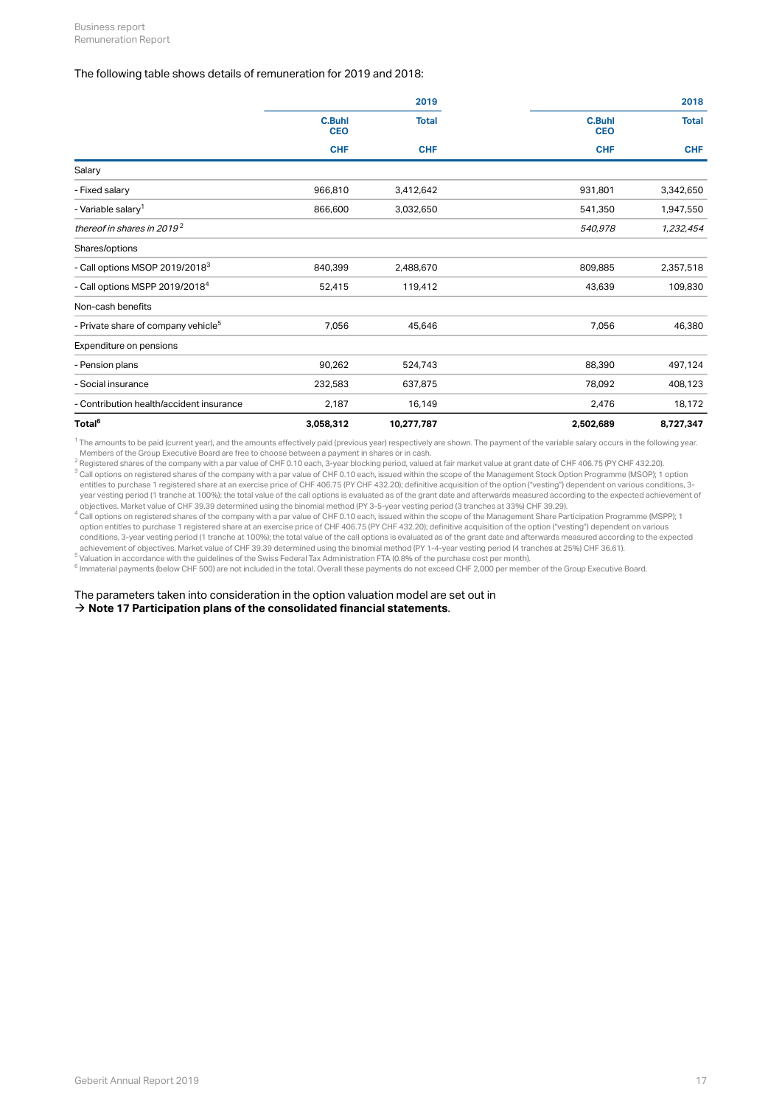#### The following table shows details of remuneration for 2019 and 2018:

|                                                 |                             | 2019         |                             | 2018         |
|-------------------------------------------------|-----------------------------|--------------|-----------------------------|--------------|
|                                                 | <b>C.Buhl</b><br><b>CEO</b> | <b>Total</b> | <b>C.Buhl</b><br><b>CEO</b> | <b>Total</b> |
|                                                 | <b>CHF</b>                  | <b>CHF</b>   | <b>CHF</b>                  | <b>CHF</b>   |
| Salary                                          |                             |              |                             |              |
| - Fixed salary                                  | 966,810                     | 3,412,642    | 931,801                     | 3,342,650    |
| - Variable salary <sup>1</sup>                  | 866,600                     | 3,032,650    | 541,350                     | 1,947,550    |
| thereof in shares in 2019 <sup>2</sup>          |                             |              | 540,978                     | 1,232,454    |
| Shares/options                                  |                             |              |                             |              |
| - Call options MSOP 2019/2018 <sup>3</sup>      | 840,399                     | 2,488,670    | 809,885                     | 2,357,518    |
| - Call options MSPP 2019/2018 <sup>4</sup>      | 52,415                      | 119,412      | 43,639                      | 109,830      |
| Non-cash benefits                               |                             |              |                             |              |
| - Private share of company vehicle <sup>5</sup> | 7,056                       | 45,646       | 7,056                       | 46,380       |
| Expenditure on pensions                         |                             |              |                             |              |
| - Pension plans                                 | 90,262                      | 524,743      | 88,390                      | 497,124      |
| - Social insurance                              | 232,583                     | 637,875      | 78,092                      | 408,123      |
| - Contribution health/accident insurance        | 2,187                       | 16,149       | 2,476                       | 18,172       |
| Total <sup>6</sup>                              | 3,058,312                   | 10,277,787   | 2,502,689                   | 8,727,347    |

 $^1$  The amounts to be paid (current year), and the amounts effectively paid (previous year) respectively are shown. The payment of the variable salary occurs in the following year. Members of the Group Executive Board are free to choose between a payment in shares or in cash.

 $^2$  Registered shares of the company with a par value of CHF 0.10 each, 3-year blocking period, valued at fair market value at grant date of CHF 406.75 (PY CHF 432.20). Call options on registered shares of the company with a par value of CHF 0.10 each, issued within the scope of the Management Stock Option Programme (MSOP); 1 option entitles to purchase 1 registered share at an exercise price of CHF 406.75 (PY CHF 432.20); definitive acquisition of the option ("vesting") dependent on various conditions, 3 year vesting period (1 tranche at 100%); the total value of the call options is evaluated as of the grant date and afterwards measured according to the expected achievement of 3

objectives. Market value of CHF 39.39 determined using the binomial method (PY 3-5-year vesting period (3 tranches at 33%) CHF 39.29).  $^4$  Call options on registered shares of the company with a par value of CHF 0.10 each, issued within the scope of the Management Share Participation Programme (MSPP); 1 option entitles to purchase 1 registered share at an exercise price of CHF 406.75 (PY CHF 432.20); definitive acquisition of the option ("vesting") dependent on various conditions, 3-year vesting period (1 tranche at 100%); the total value of the call options is evaluated as of the grant date and afterwards measured according to the expected achievement of objectives. Market value of CHF 39.39 determined using the binomial method (PY 1-4-year vesting period (4 tranches at 25%) CHF 36.61).

 $^5$  Valuation in accordance with the guidelines of the Swiss Federal Tax Administration FTA (0.8% of the purchase cost per month).

 $^6$  Immaterial payments (below CHF 500) are not included in the total. Overall these payments do not exceed CHF 2,000 per member of the Group Executive Board.

The parameters taken into consideration in the option valuation model are set out in

 $\rightarrow$  [Note 17 Participation plans of the consolidated financial statements](http://annualreport.geberit.com/reports/geberit/annual/2019/gb/English/20405017/17_-participation-plans.html?anchor=20405017%2F%2F17_-participation-plans#20405017//17_-participation-plans).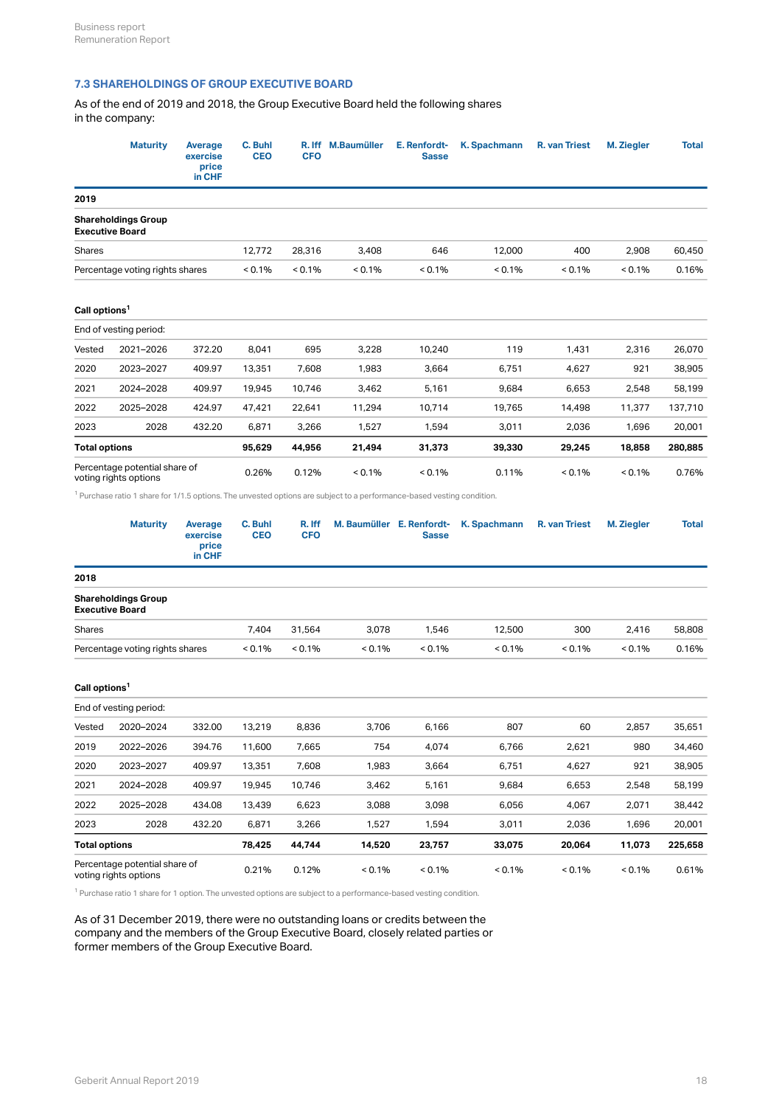## **7.3 SHAREHOLDINGS OF GROUP EXECUTIVE BOARD**

As of the end of 2019 and 2018, the Group Executive Board held the following shares in the company:

|                                                        | <b>Maturity</b>                                        | <b>Average</b><br>exercise<br>price<br>in CHF | C. Buhl<br><b>CEO</b> | <b>CFO</b>           | R. Iff M.Baumüller                                                                                                   | E. Renfordt-<br>Sasse                     | <b>K.</b> Spachmann | R. van Triest | M. Ziegler | Total   |
|--------------------------------------------------------|--------------------------------------------------------|-----------------------------------------------|-----------------------|----------------------|----------------------------------------------------------------------------------------------------------------------|-------------------------------------------|---------------------|---------------|------------|---------|
| 2019                                                   |                                                        |                                               |                       |                      |                                                                                                                      |                                           |                     |               |            |         |
|                                                        | <b>Shareholdings Group</b><br><b>Executive Board</b>   |                                               |                       |                      |                                                                                                                      |                                           |                     |               |            |         |
| Shares                                                 |                                                        |                                               | 12,772                | 28,316               | 3,408                                                                                                                | 646                                       | 12,000              | 400           | 2,908      | 60,450  |
|                                                        | Percentage voting rights shares                        |                                               | < 0.1%                | < 0.1%               | $< 0.1\%$                                                                                                            | < 0.1%                                    | < 0.1%              | < 0.1%        | $< 0.1\%$  | 0.16%   |
| Call options <sup>1</sup>                              |                                                        |                                               |                       |                      |                                                                                                                      |                                           |                     |               |            |         |
|                                                        | End of vesting period:                                 |                                               |                       |                      |                                                                                                                      |                                           |                     |               |            |         |
| Vested                                                 | 2021-2026                                              | 372.20                                        | 8,041                 | 695                  | 3,228                                                                                                                | 10,240                                    | 119                 | 1,431         | 2,316      | 26,070  |
| 2020                                                   | 2023-2027                                              | 409.97                                        | 13,351                | 7,608                | 1,983                                                                                                                | 3,664                                     | 6,751               | 4,627         | 921        | 38,905  |
| 2021                                                   | 2024-2028                                              | 409.97                                        | 19,945                | 10,746               | 3,462                                                                                                                | 5,161                                     | 9,684               | 6,653         | 2,548      | 58,199  |
| 2022                                                   | 2025-2028                                              | 424.97                                        | 47,421                | 22,641               | 11,294                                                                                                               | 10,714                                    | 19,765              | 14,498        | 11,377     | 137,710 |
| 2023                                                   | 2028                                                   | 432.20                                        | 6,871                 | 3,266                | 1,527                                                                                                                | 1,594                                     | 3,011               | 2,036         | 1,696      | 20,001  |
| <b>Total options</b>                                   |                                                        |                                               | 95,629                | 44,956               | 21,494                                                                                                               | 31,373                                    | 39,330              | 29,245        | 18,858     | 280,885 |
| Percentage potential share of<br>voting rights options |                                                        |                                               | 0.26%                 | 0.12%                | < 0.1%                                                                                                               | < 0.1%                                    | 0.11%               | < 0.1%        | $< 0.1\%$  | 0.76%   |
|                                                        |                                                        |                                               |                       |                      | Purchase ratio 1 share for 1/1.5 options. The unvested options are subject to a performance-based vesting condition. |                                           |                     |               |            |         |
|                                                        | <b>Maturity</b>                                        | Average<br>exercise<br>price<br>in CHF        | C. Buhl<br><b>CEO</b> | R. Iff<br><b>CFO</b> |                                                                                                                      | M. Baumüller E. Renfordt-<br><b>Sasse</b> | K. Spachmann        | R. van Triest | M. Ziegler | Total   |
| 2018                                                   |                                                        |                                               |                       |                      |                                                                                                                      |                                           |                     |               |            |         |
|                                                        | <b>Shareholdings Group</b><br><b>Executive Board</b>   |                                               |                       |                      |                                                                                                                      |                                           |                     |               |            |         |
| Shares                                                 |                                                        |                                               | 7,404                 | 31,564               | 3,078                                                                                                                | 1,546                                     | 12,500              | 300           | 2,416      | 58,808  |
|                                                        | Percentage voting rights shares                        |                                               | < 0.1%                | $< 0.1\%$            | < 0.1%                                                                                                               | < 0.1%                                    | $< 0.1\%$           | < 0.1%        | < 0.1%     | 0.16%   |
| Call options <sup>1</sup>                              |                                                        |                                               |                       |                      |                                                                                                                      |                                           |                     |               |            |         |
|                                                        | End of vesting period:                                 |                                               |                       |                      |                                                                                                                      |                                           |                     |               |            |         |
| Vested                                                 | 2020-2024                                              | 332.00                                        | 13,219                | 8,836                | 3,706                                                                                                                | 6,166                                     | 807                 | 60            | 2,857      | 35,651  |
| 2019                                                   | 2022-2026                                              | 394.76                                        | 11,600                | 7,665                | 754                                                                                                                  | 4,074                                     | 6,766               | 2,621         | 980        | 34,460  |
| 2020                                                   | 2023-2027                                              | 409.97                                        | 13,351                | 7,608                | 1,983                                                                                                                | 3,664                                     | 6,751               | 4,627         | 921        | 38,905  |
| 2021                                                   | 2024-2028                                              | 409.97                                        | 19,945                | 10,746               | 3,462                                                                                                                | 5,161                                     | 9,684               | 6,653         | 2,548      | 58,199  |
| 2022                                                   | 2025-2028                                              | 434.08                                        | 13,439                | 6,623                | 3,088                                                                                                                | 3,098                                     | 6,056               | 4,067         | 2,071      | 38,442  |
| 2023                                                   | 2028                                                   | 432.20                                        | 6,871                 | 3,266                | 1,527                                                                                                                | 1,594                                     | 3,011               | 2,036         | 1,696      | 20,001  |
| <b>Total options</b>                                   |                                                        |                                               | 78,425                | 44,744               | 14,520                                                                                                               | 23,757                                    | 33,075              | 20,064        | 11,073     | 225,658 |
|                                                        | Percentage potential share of<br>voting rights options |                                               | 0.21%                 | 0.12%                | < 0.1%                                                                                                               | $< 0.1\%$                                 | $< 0.1\%$           | < 0.1%        | < 0.1%     | 0.61%   |

 $<sup>1</sup>$  Purchase ratio 1 share for 1 option. The unvested options are subject to a performance-based vesting condition.</sup>

As of 31 December 2019, there were no outstanding loans or credits between the company and the members of the Group Executive Board, closely related parties or former members of the Group Executive Board.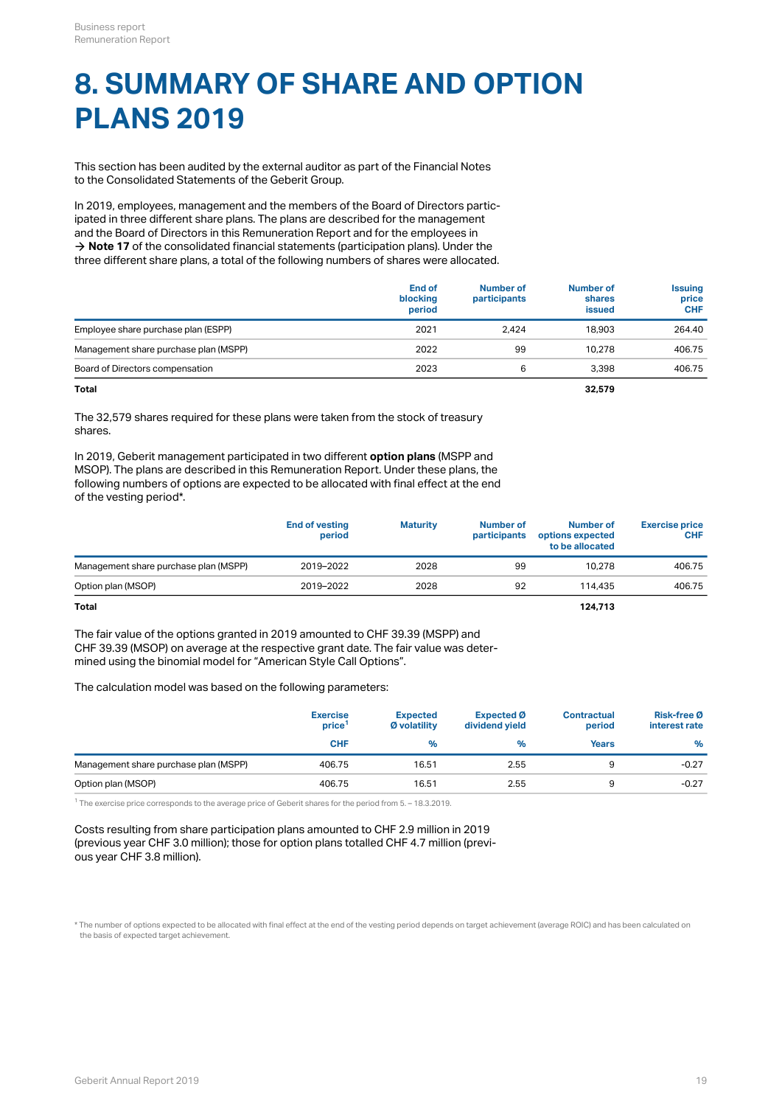# **8. SUMMARY OF SHARE AND OPTION PLANS 2019**

This section has been audited by the external auditor as part of the Financial Notes to the Consolidated Statements of the Geberit Group.

In 2019, employees, management and the members of the Board of Directors participated in three different share plans. The plans are described for the management and the Board of Directors in this Remuneration Report and for the employees in  $\rightarrow$  **[Note 17](http://annualreport.geberit.com/reports/geberit/annual/2019/gb/English/20405017/17_-participation-plans.html?anchor=20405017%2F%2F17_-participation-plans#20405017//17_-participation-plans)** of the consolidated financial statements (participation plans). Under the three different share plans, a total of the following numbers of shares were allocated.

|                                       | End of<br>blocking<br>period | Number of<br>participants | <b>Number of</b><br>shares<br><b>issued</b> | <b>Issuing</b><br>price<br><b>CHF</b> |
|---------------------------------------|------------------------------|---------------------------|---------------------------------------------|---------------------------------------|
| Employee share purchase plan (ESPP)   | 2021                         | 2.424                     | 18.903                                      | 264.40                                |
| Management share purchase plan (MSPP) | 2022                         | 99                        | 10.278                                      | 406.75                                |
| Board of Directors compensation       | 2023                         |                           | 3.398                                       | 406.75                                |

**Total 32,579**

The 32,579 shares required for these plans were taken from the stock of treasury shares.

In 2019, Geberit management participated in two different **option plans** (MSPP and MSOP). The plans are described in this Remuneration Report. Under these plans, the following numbers of options are expected to be allocated with final effect at the end of the vesting period\*.

|                                       | <b>End of vesting</b><br>period | <b>Maturity</b> | Number of<br>participants | Number of<br>options expected<br>to be allocated | <b>Exercise price</b><br><b>CHF</b> |
|---------------------------------------|---------------------------------|-----------------|---------------------------|--------------------------------------------------|-------------------------------------|
| Management share purchase plan (MSPP) | 2019-2022                       | 2028            | 99                        | 10.278                                           | 406.75                              |
| Option plan (MSOP)                    | 2019-2022                       | 2028            | 92                        | 114.435                                          | 406.75                              |
| Total                                 |                                 |                 |                           | 124,713                                          |                                     |

The fair value of the options granted in 2019 amounted to CHF 39.39 (MSPP) and CHF 39.39 (MSOP) on average at the respective grant date. The fair value was determined using the binomial model for "American Style Call Options".

The calculation model was based on the following parameters:

|                                       | <b>Exercise</b><br>price | <b>Expected</b><br>Ø volatility | Expected Ø<br>dividend yield | <b>Contractual</b><br>period | <b>Risk-free Ø</b><br>interest rate |
|---------------------------------------|--------------------------|---------------------------------|------------------------------|------------------------------|-------------------------------------|
|                                       | <b>CHF</b>               | %                               | $\%$                         | Years                        | %                                   |
| Management share purchase plan (MSPP) | 406.75                   | 16.51                           | 2.55                         |                              | $-0.27$                             |
| Option plan (MSOP)                    | 406.75                   | 16.51                           | 2.55                         |                              | $-0.27$                             |

 $1$  The exercise price corresponds to the average price of Geberit shares for the period from 5. – 18.3.2019.

Costs resulting from share participation plans amounted to CHF 2.9 million in 2019 (previous year CHF 3.0 million); those for option plans totalled CHF 4.7 million (previous year CHF 3.8 million).

\* The number of options expected to be allocated with final effect at the end of the vesting period depends on target achievement (average ROIC) and has been calculated on the basis of expected target achievement.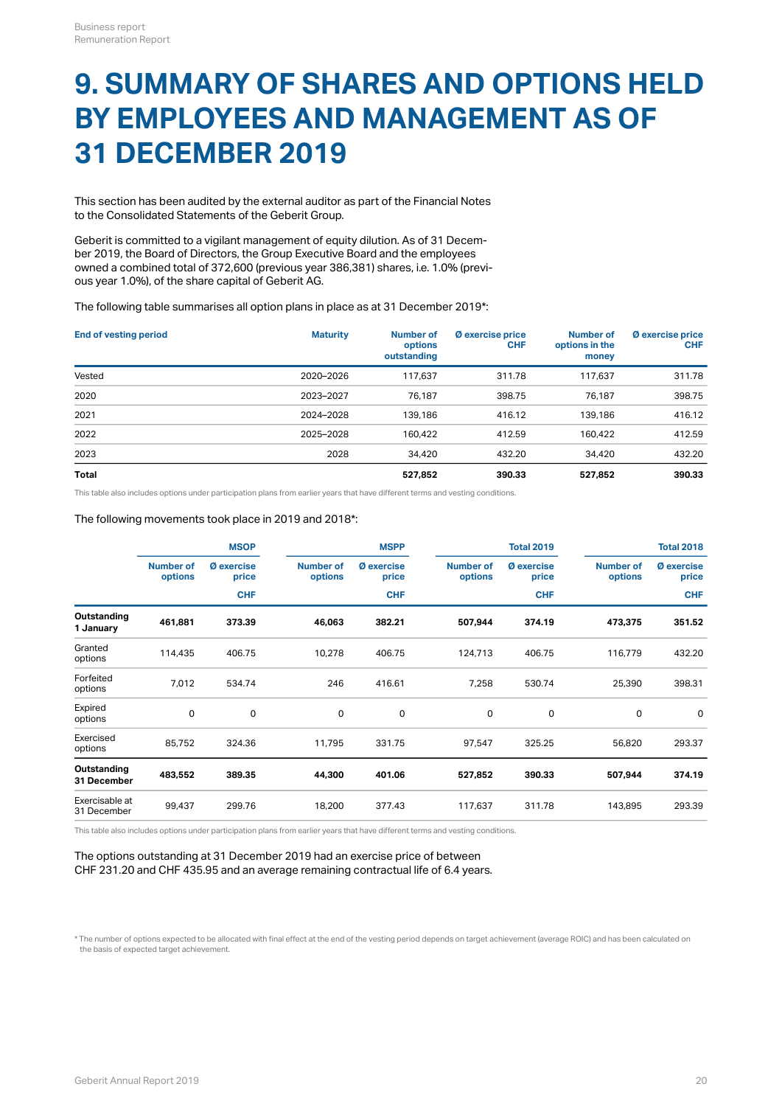## **9. SUMMARY OF SHARES AND OPTIONS HELD BY EMPLOYEES AND MANAGEMENT AS OF 31 DECEMBER 2019**

This section has been audited by the external auditor as part of the Financial Notes to the Consolidated Statements of the Geberit Group.

Geberit is committed to a vigilant management of equity dilution. As of 31 December 2019, the Board of Directors, the Group Executive Board and the employees owned a combined total of 372,600 (previous year 386,381) shares, i.e. 1.0% (previous year 1.0%), of the share capital of Geberit AG.

The following table summarises all option plans in place as at 31 December 2019\*:

| <b>End of vesting period</b> | <b>Maturity</b> | Number of<br>options<br>outstanding | Ø exercise price<br><b>CHF</b> | <b>Number of</b><br>options in the<br>money | Ø exercise price<br><b>CHF</b> |
|------------------------------|-----------------|-------------------------------------|--------------------------------|---------------------------------------------|--------------------------------|
| Vested                       | 2020-2026       | 117.637                             | 311.78                         | 117,637                                     | 311.78                         |
| 2020                         | 2023-2027       | 76.187                              | 398.75                         | 76.187                                      | 398.75                         |
| 2021                         | 2024-2028       | 139,186                             | 416.12                         | 139,186                                     | 416.12                         |
| 2022                         | 2025-2028       | 160.422                             | 412.59                         | 160.422                                     | 412.59                         |
| 2023                         | 2028            | 34,420                              | 432.20                         | 34,420                                      | 432.20                         |
| <b>Total</b>                 |                 | 527.852                             | 390.33                         | 527.852                                     | 390.33                         |

This table also includes options under participation plans from earlier years that have different terms and vesting conditions.

#### The following movements took place in 2019 and 2018\*:

|                               | <b>MSOP</b>                 |                            |                             | <b>MSPP</b>                |                             | <b>Total 2019</b>   |                             | <b>Total 2018</b>          |
|-------------------------------|-----------------------------|----------------------------|-----------------------------|----------------------------|-----------------------------|---------------------|-----------------------------|----------------------------|
|                               | <b>Number of</b><br>options | <b>Ø</b> exercise<br>price | <b>Number of</b><br>options | <b>Ø</b> exercise<br>price | <b>Number of</b><br>options | Ø exercise<br>price | <b>Number of</b><br>options | <b>Ø</b> exercise<br>price |
|                               | <b>CHF</b>                  |                            | <b>CHF</b>                  |                            | <b>CHF</b>                  |                     | <b>CHF</b>                  |                            |
| Outstanding<br>1 January      | 461,881                     | 373.39                     | 46,063                      | 382.21                     | 507,944                     | 374.19              | 473,375                     | 351.52                     |
| Granted<br>options            | 114,435                     | 406.75                     | 10,278                      | 406.75                     | 124,713                     | 406.75              | 116,779                     | 432.20                     |
| Forfeited<br>options          | 7,012                       | 534.74                     | 246                         | 416.61                     | 7,258                       | 530.74              | 25,390                      | 398.31                     |
| Expired<br>options            | $\mathbf 0$                 | $\mathbf 0$                | $\mathbf 0$                 | $\mathbf 0$                | 0                           | $\mathbf 0$         | 0                           | $\mathbf 0$                |
| Exercised<br>options          | 85,752                      | 324.36                     | 11,795                      | 331.75                     | 97,547                      | 325.25              | 56,820                      | 293.37                     |
| Outstanding<br>31 December    | 483,552                     | 389.35                     | 44,300                      | 401.06                     | 527,852                     | 390.33              | 507,944                     | 374.19                     |
| Exercisable at<br>31 December | 99,437                      | 299.76                     | 18,200                      | 377.43                     | 117,637                     | 311.78              | 143,895                     | 293.39                     |

This table also includes options under participation plans from earlier years that have different terms and vesting conditions.

#### The options outstanding at 31 December 2019 had an exercise price of between CHF 231.20 and CHF 435.95 and an average remaining contractual life of 6.4 years.

\* The number of options expected to be allocated with final effect at the end of the vesting period depends on target achievement (average ROIC) and has been calculated on the basis of expected target achievement.